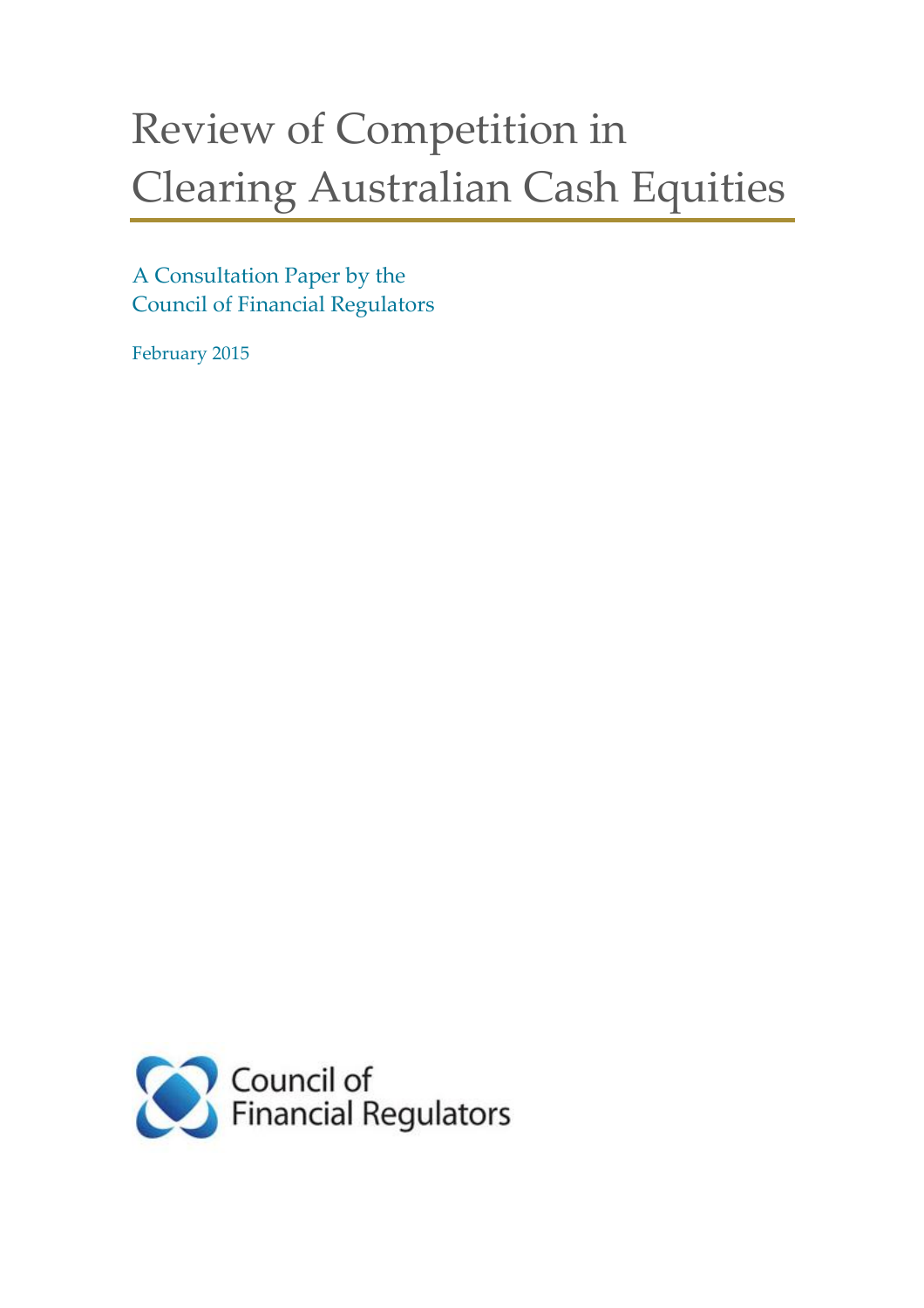# Review of Competition in Clearing Australian Cash Equities

## A Consultation Paper by the Council of Financial Regulators

February 2015

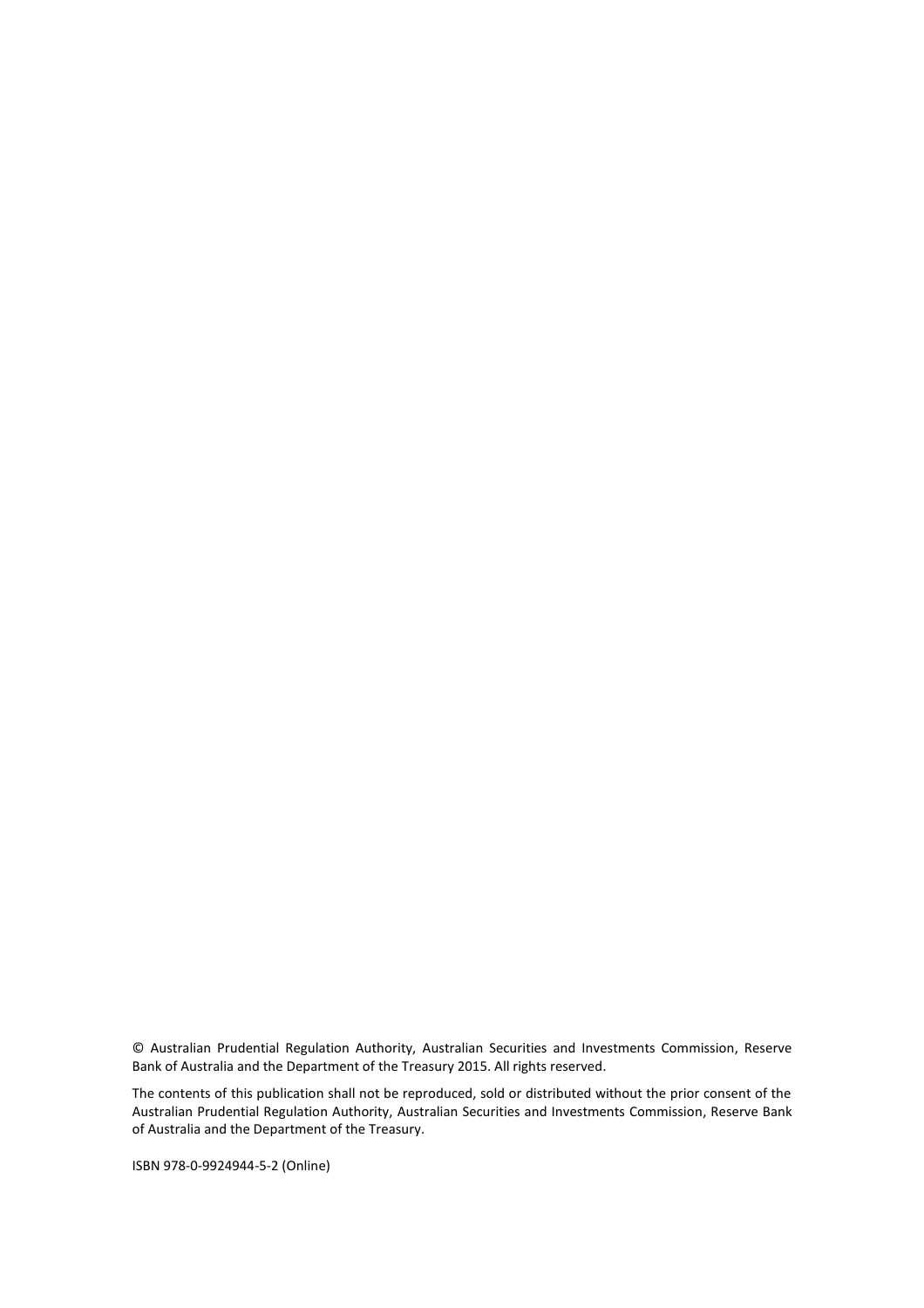© Australian Prudential Regulation Authority, Australian Securities and Investments Commission, Reserve Bank of Australia and the Department of the Treasury 2015. All rights reserved.

The contents of this publication shall not be reproduced, sold or distributed without the prior consent of the Australian Prudential Regulation Authority, Australian Securities and Investments Commission, Reserve Bank of Australia and the Department of the Treasury.

ISBN 978-0-9924944-5-2 (Online)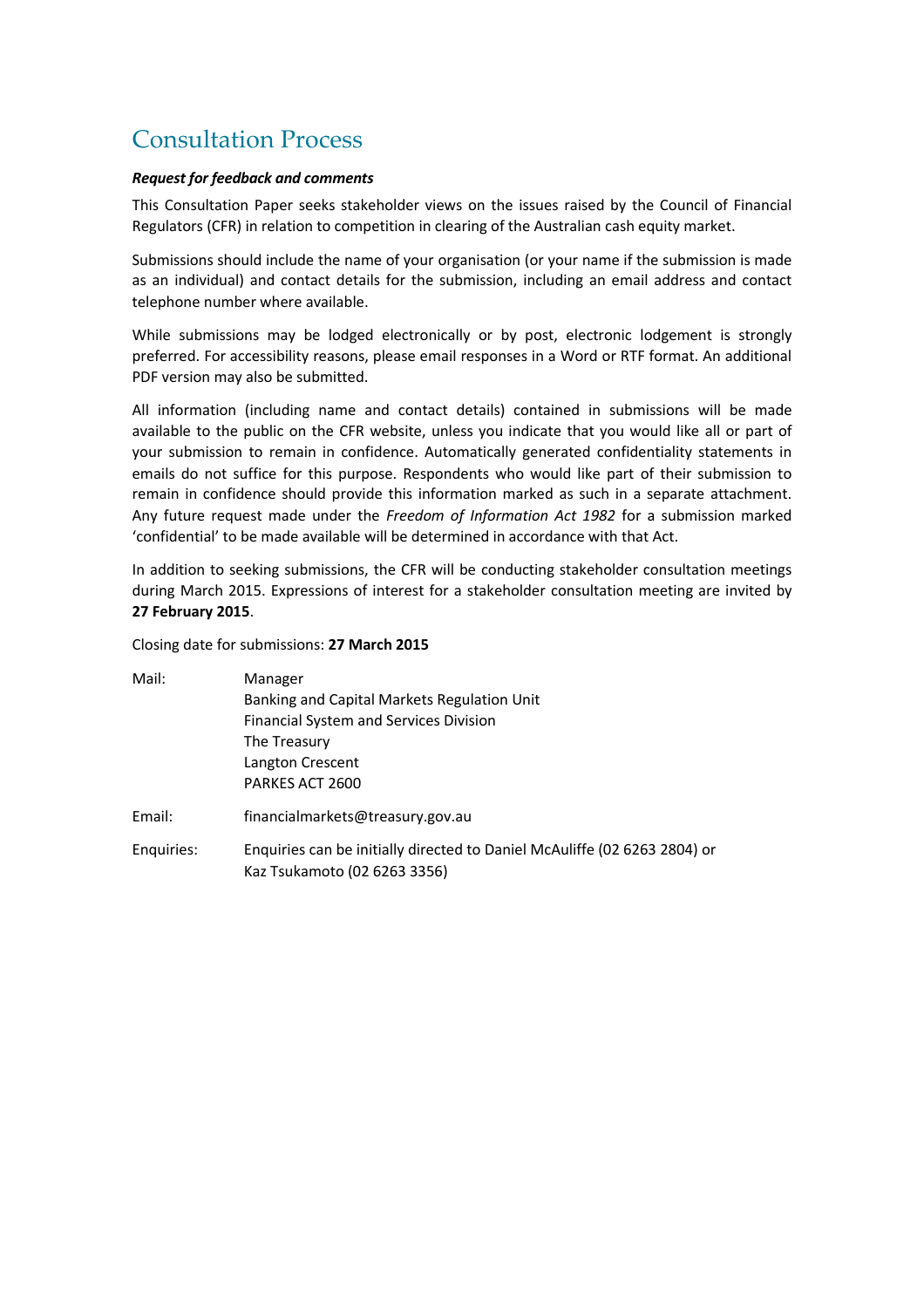# Consultation Process

#### *Request for feedback and comments*

This Consultation Paper seeks stakeholder views on the issues raised by the Council of Financial Regulators (CFR) in relation to competition in clearing of the Australian cash equity market.

Submissions should include the name of your organisation (or your name if the submission is made as an individual) and contact details for the submission, including an email address and contact telephone number where available.

While submissions may be lodged electronically or by post, electronic lodgement is strongly preferred. For accessibility reasons, please email responses in a Word or RTF format. An additional PDF version may also be submitted.

All information (including name and contact details) contained in submissions will be made available to the public on the CFR website, unless you indicate that you would like all or part of your submission to remain in confidence. Automatically generated confidentiality statements in emails do not suffice for this purpose. Respondents who would like part of their submission to remain in confidence should provide this information marked as such in a separate attachment. Any future request made under the *Freedom of Information Act 1982* for a submission marked 'confidential' to be made available will be determined in accordance with that Act.

In addition to seeking submissions, the CFR will be conducting stakeholder consultation meetings during March 2015. Expressions of interest for a stakeholder consultation meeting are invited by **27 February 2015**.

Closing date for submissions: **27 March 2015**

| Mail:      | Manager                                                                   |
|------------|---------------------------------------------------------------------------|
|            | Banking and Capital Markets Regulation Unit                               |
|            | <b>Financial System and Services Division</b>                             |
|            | The Treasury                                                              |
|            | Langton Crescent                                                          |
|            | PARKES ACT 2600                                                           |
| Email:     | financialmarkets@treasury.gov.au                                          |
| Enguiries: | Enquiries can be initially directed to Daniel McAuliffe (02 6263 2804) or |
|            | Kaz Tsukamoto (02 6263 3356)                                              |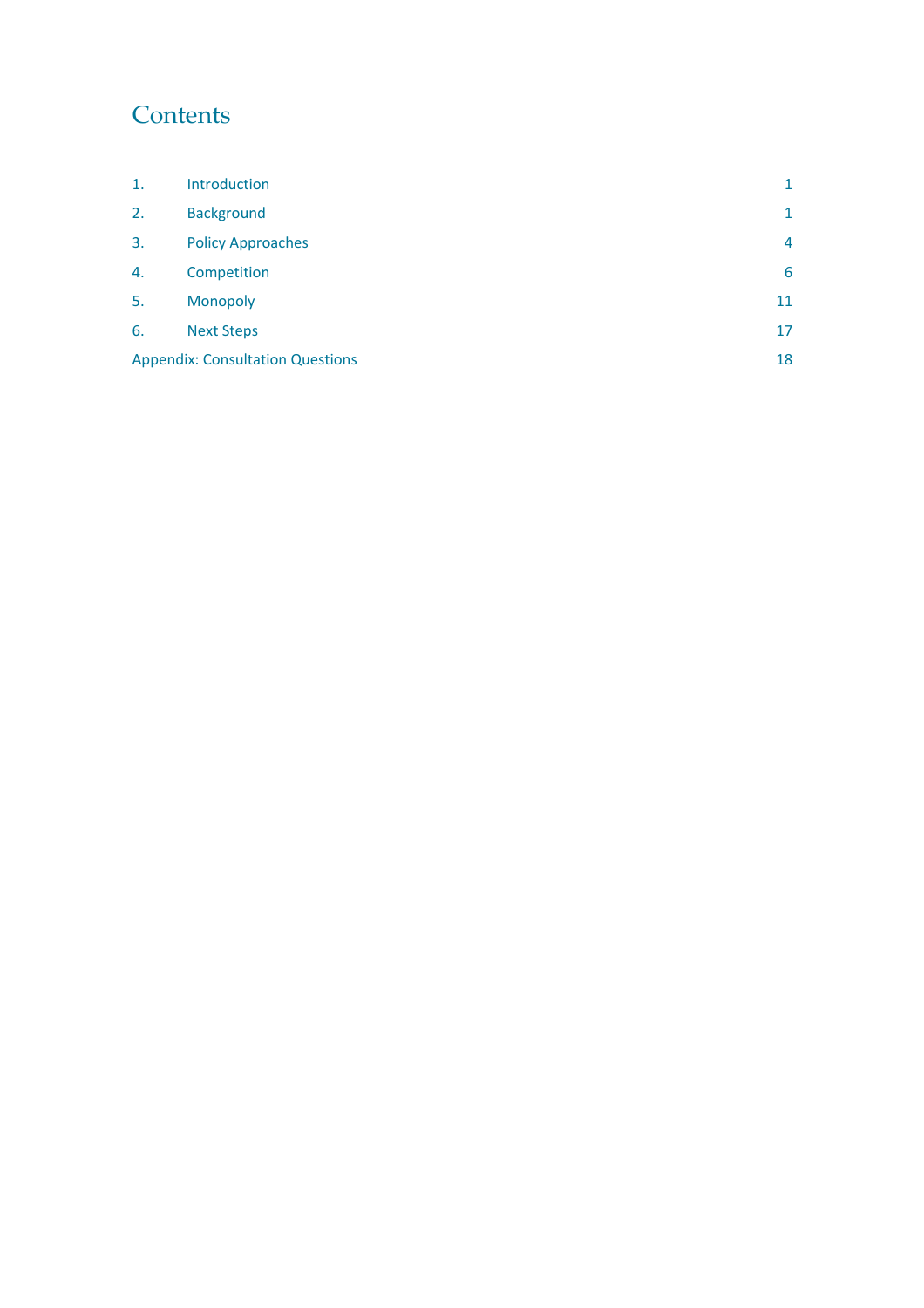# **Contents**

| $\mathbf{1}$ . | Introduction                            | 1  |
|----------------|-----------------------------------------|----|
| 2.             | <b>Background</b>                       | 1  |
| 3.             | <b>Policy Approaches</b>                | 4  |
| 4.             | Competition                             | 6  |
| 5.             | Monopoly                                | 11 |
| 6.             | <b>Next Steps</b>                       | 17 |
|                | <b>Appendix: Consultation Questions</b> |    |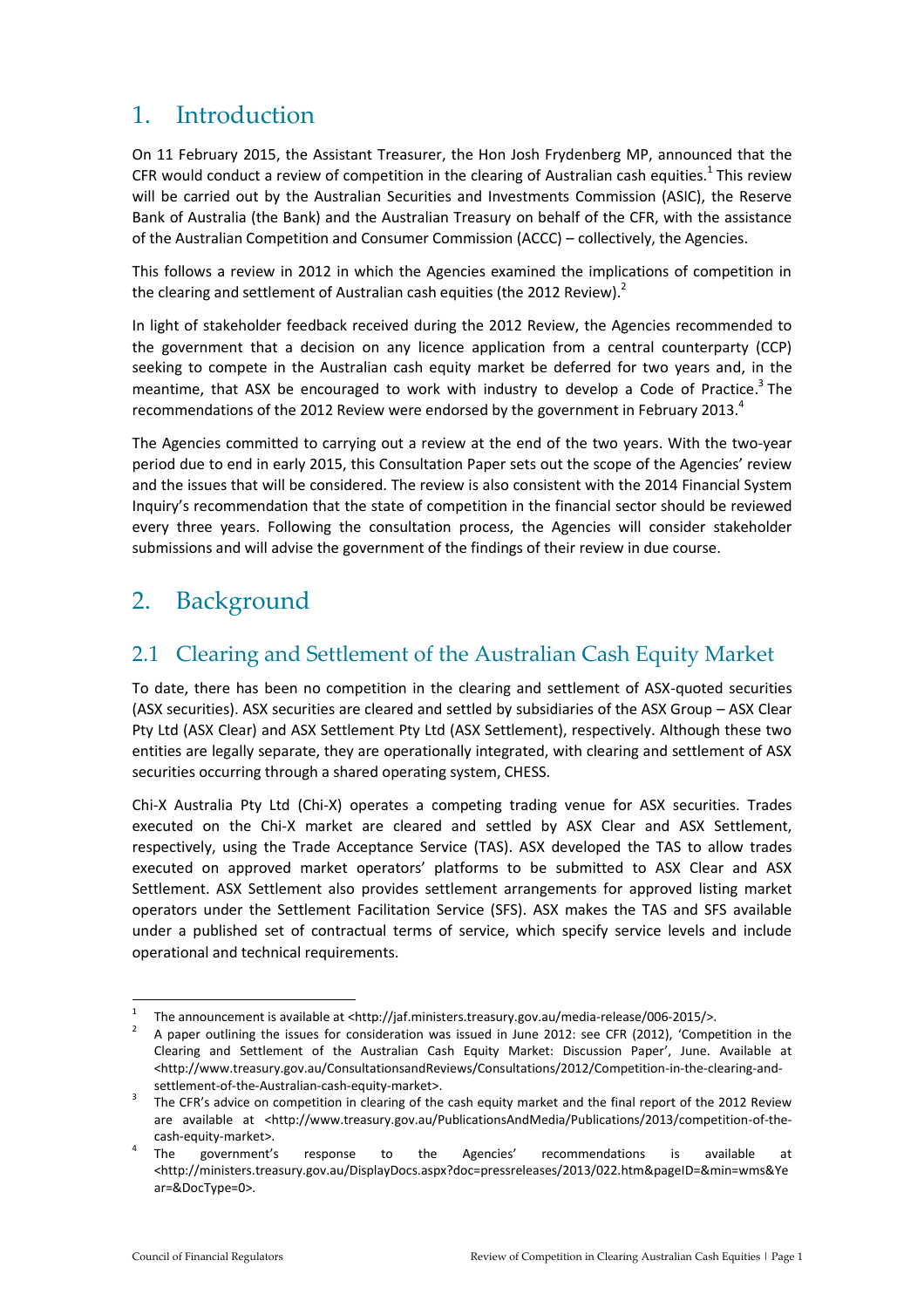## 1. Introduction

On 11 February 2015, the Assistant Treasurer, the Hon Josh Frydenberg MP, announced that the CFR would conduct a review of competition in the clearing of Australian cash equities.<sup>1</sup> This review will be carried out by the Australian Securities and Investments Commission (ASIC), the Reserve Bank of Australia (the Bank) and the Australian Treasury on behalf of the CFR, with the assistance of the Australian Competition and Consumer Commission (ACCC) – collectively, the Agencies.

This follows a review in 2012 in which the Agencies examined the implications of competition in the clearing and settlement of Australian cash equities (the 2012 Review).<sup>2</sup>

In light of stakeholder feedback received during the 2012 Review, the Agencies recommended to the government that a decision on any licence application from a central counterparty (CCP) seeking to compete in the Australian cash equity market be deferred for two years and, in the meantime, that ASX be encouraged to work with industry to develop a Code of Practice.<sup>3</sup> The recommendations of the 2012 Review were endorsed by the government in February 2013.<sup>4</sup>

The Agencies committed to carrying out a review at the end of the two years. With the two-year period due to end in early 2015, this Consultation Paper sets out the scope of the Agencies' review and the issues that will be considered. The review is also consistent with the 2014 Financial System Inquiry's recommendation that the state of competition in the financial sector should be reviewed every three years. Following the consultation process, the Agencies will consider stakeholder submissions and will advise the government of the findings of their review in due course.

# 2. Background

## 2.1 Clearing and Settlement of the Australian Cash Equity Market

To date, there has been no competition in the clearing and settlement of ASX-quoted securities (ASX securities). ASX securities are cleared and settled by subsidiaries of the ASX Group – ASX Clear Pty Ltd (ASX Clear) and ASX Settlement Pty Ltd (ASX Settlement), respectively. Although these two entities are legally separate, they are operationally integrated, with clearing and settlement of ASX securities occurring through a shared operating system, CHESS.

Chi-X Australia Pty Ltd (Chi-X) operates a competing trading venue for ASX securities. Trades executed on the Chi-X market are cleared and settled by ASX Clear and ASX Settlement, respectively, using the Trade Acceptance Service (TAS). ASX developed the TAS to allow trades executed on approved market operators' platforms to be submitted to ASX Clear and ASX Settlement. ASX Settlement also provides settlement arrangements for approved listing market operators under the Settlement Facilitation Service (SFS). ASX makes the TAS and SFS available under a published set of contractual terms of service, which specify service levels and include operational and technical requirements.

 $\frac{1}{1}$ The announcement is available at <http://jaf.ministers.treasury.gov.au/media-release/006-2015/>.

<sup>2</sup> A paper outlining the issues for consideration was issued in June 2012: see CFR (2012), 'Competition in the Clearing and Settlement of the Australian Cash Equity Market: Discussion Paper', June. Available at <http://www.treasury.gov.au/ConsultationsandReviews/Consultations/2012/Competition-in-the-clearing-andsettlement-of-the-Australian-cash-equity-market>.

<sup>3</sup> The CFR's advice on competition in clearing of the cash equity market and the final report of the 2012 Review are available at <http://www.treasury.gov.au/PublicationsAndMedia/Publications/2013/competition-of-thecash-equity-market>.

<sup>4</sup> The government's response to the Agencies' recommendations is available at <http://ministers.treasury.gov.au/DisplayDocs.aspx?doc=pressreleases/2013/022.htm&pageID=&min=wms&Ye ar=&DocType=0>.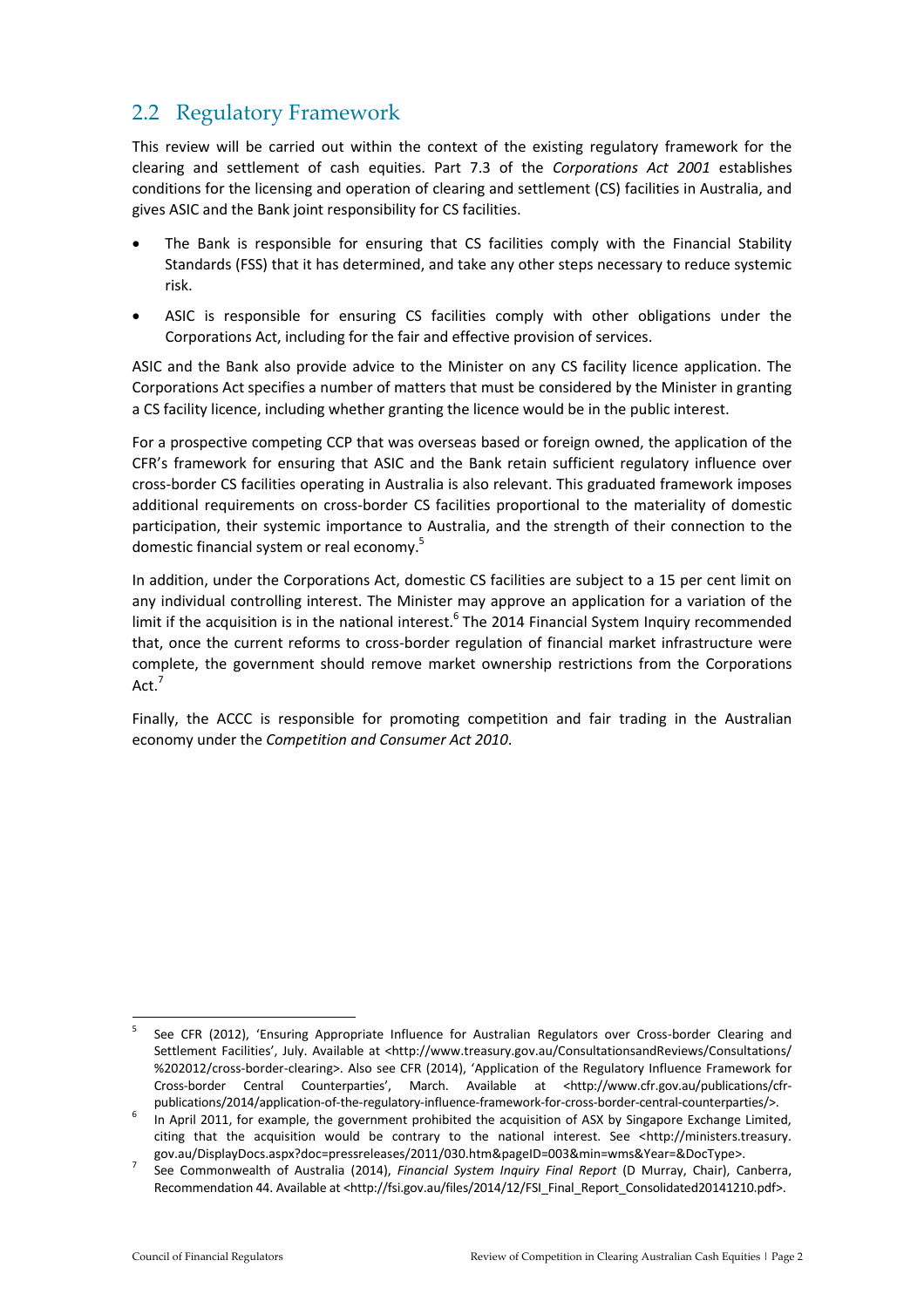## 2.2 Regulatory Framework

This review will be carried out within the context of the existing regulatory framework for the clearing and settlement of cash equities. Part 7.3 of the *Corporations Act 2001* establishes conditions for the licensing and operation of clearing and settlement (CS) facilities in Australia, and gives ASIC and the Bank joint responsibility for CS facilities.

- The Bank is responsible for ensuring that CS facilities comply with the Financial Stability Standards (FSS) that it has determined, and take any other steps necessary to reduce systemic risk.
- ASIC is responsible for ensuring CS facilities comply with other obligations under the Corporations Act, including for the fair and effective provision of services.

ASIC and the Bank also provide advice to the Minister on any CS facility licence application. The Corporations Act specifies a number of matters that must be considered by the Minister in granting a CS facility licence, including whether granting the licence would be in the public interest.

For a prospective competing CCP that was overseas based or foreign owned, the application of the CFR's framework for ensuring that ASIC and the Bank retain sufficient regulatory influence over cross-border CS facilities operating in Australia is also relevant. This graduated framework imposes additional requirements on cross-border CS facilities proportional to the materiality of domestic participation, their systemic importance to Australia, and the strength of their connection to the domestic financial system or real economy.<sup>5</sup>

In addition, under the Corporations Act, domestic CS facilities are subject to a 15 per cent limit on any individual controlling interest. The Minister may approve an application for a variation of the limit if the acquisition is in the national interest.<sup>6</sup> The 2014 Financial System Inquiry recommended that, once the current reforms to cross-border regulation of financial market infrastructure were complete, the government should remove market ownership restrictions from the Corporations Act.<sup>7</sup>

Finally, the ACCC is responsible for promoting competition and fair trading in the Australian economy under the *Competition and Consumer Act 2010*.

 $\frac{1}{5}$ See CFR (2012), 'Ensuring Appropriate Influence for Australian Regulators over Cross-border Clearing and Settlement Facilities', July. Available at <http://www.treasury.gov.au/ConsultationsandReviews/Consultations/ %202012/cross-border-clearing>. Also see CFR (2014), 'Application of the Regulatory Influence Framework for Cross-border Central Counterparties', March. Available at <http://www.cfr.gov.au/publications/cfrpublications/2014/application-of-the-regulatory-influence-framework-for-cross-border-central-counterparties/>.

<sup>6</sup> In April 2011, for example, the government prohibited the acquisition of ASX by Singapore Exchange Limited, citing that the acquisition would be contrary to the national interest. See <http://ministers.treasury. gov.au/DisplayDocs.aspx?doc=pressreleases/2011/030.htm&pageID=003&min=wms&Year=&DocType>.

<sup>7</sup> See Commonwealth of Australia (2014), *Financial System Inquiry Final Report* (D Murray, Chair), Canberra, Recommendation 44. Available at <http://fsi.gov.au/files/2014/12/FSI\_Final\_Report\_Consolidated20141210.pdf>.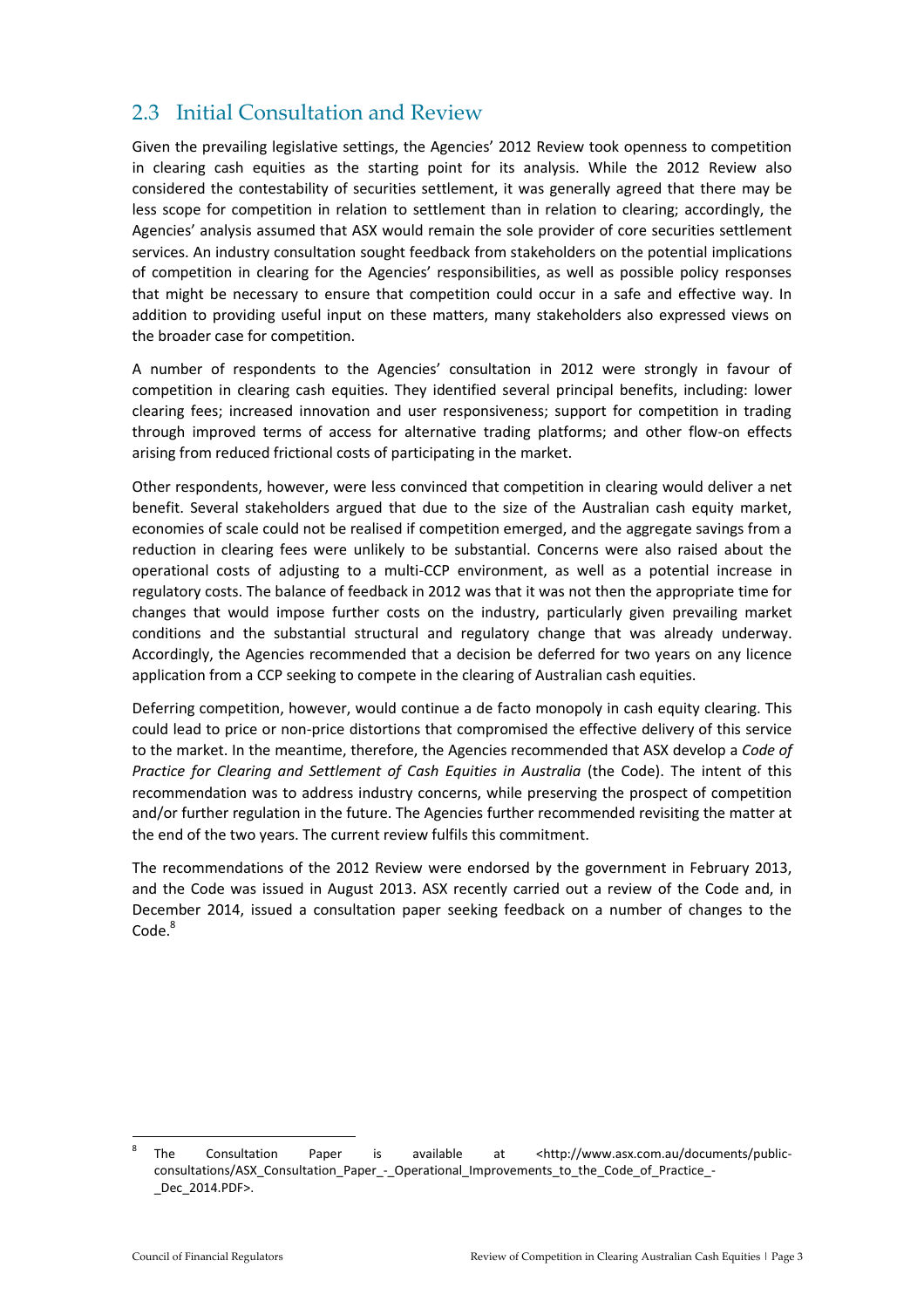#### 2.3 Initial Consultation and Review

Given the prevailing legislative settings, the Agencies' 2012 Review took openness to competition in clearing cash equities as the starting point for its analysis. While the 2012 Review also considered the contestability of securities settlement, it was generally agreed that there may be less scope for competition in relation to settlement than in relation to clearing; accordingly, the Agencies' analysis assumed that ASX would remain the sole provider of core securities settlement services. An industry consultation sought feedback from stakeholders on the potential implications of competition in clearing for the Agencies' responsibilities, as well as possible policy responses that might be necessary to ensure that competition could occur in a safe and effective way. In addition to providing useful input on these matters, many stakeholders also expressed views on the broader case for competition.

A number of respondents to the Agencies' consultation in 2012 were strongly in favour of competition in clearing cash equities. They identified several principal benefits, including: lower clearing fees; increased innovation and user responsiveness; support for competition in trading through improved terms of access for alternative trading platforms; and other flow-on effects arising from reduced frictional costs of participating in the market.

Other respondents, however, were less convinced that competition in clearing would deliver a net benefit. Several stakeholders argued that due to the size of the Australian cash equity market, economies of scale could not be realised if competition emerged, and the aggregate savings from a reduction in clearing fees were unlikely to be substantial. Concerns were also raised about the operational costs of adjusting to a multi-CCP environment, as well as a potential increase in regulatory costs. The balance of feedback in 2012 was that it was not then the appropriate time for changes that would impose further costs on the industry, particularly given prevailing market conditions and the substantial structural and regulatory change that was already underway. Accordingly, the Agencies recommended that a decision be deferred for two years on any licence application from a CCP seeking to compete in the clearing of Australian cash equities.

Deferring competition, however, would continue a de facto monopoly in cash equity clearing. This could lead to price or non-price distortions that compromised the effective delivery of this service to the market. In the meantime, therefore, the Agencies recommended that ASX develop a *Code of Practice for Clearing and Settlement of Cash Equities in Australia* (the Code). The intent of this recommendation was to address industry concerns, while preserving the prospect of competition and/or further regulation in the future. The Agencies further recommended revisiting the matter at the end of the two years. The current review fulfils this commitment.

The recommendations of the 2012 Review were endorsed by the government in February 2013, and the Code was issued in August 2013. ASX recently carried out a review of the Code and, in December 2014, issued a consultation paper seeking feedback on a number of changes to the  $Code<sup>8</sup>$ 

<sup>1</sup> 8 The Consultation Paper is available at <http://www.asx.com.au/documents/publicconsultations/ASX\_Consultation\_Paper\_-\_Operational\_Improvements\_to\_the\_Code\_of\_Practice\_- \_Dec\_2014.PDF>.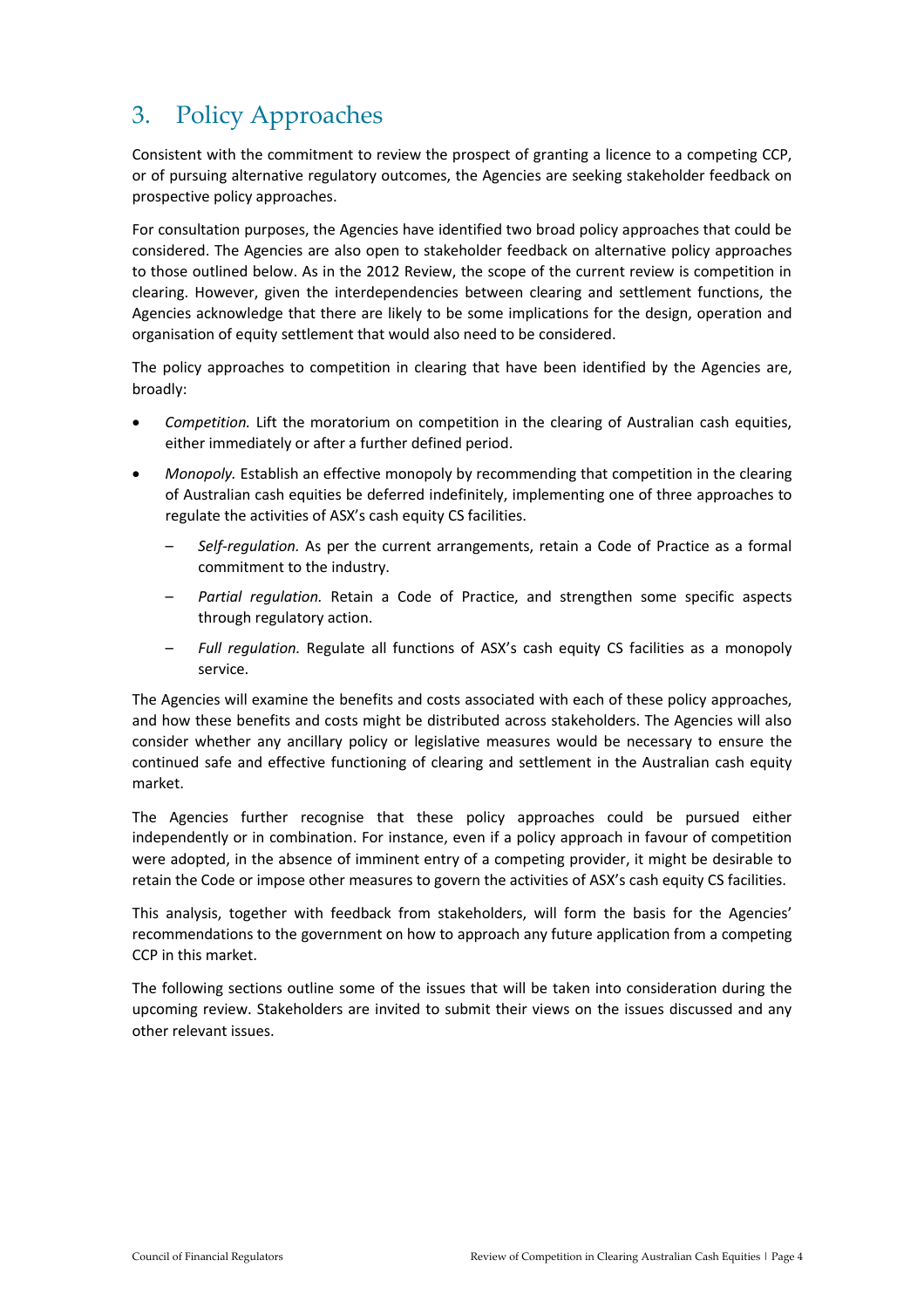# 3. Policy Approaches

Consistent with the commitment to review the prospect of granting a licence to a competing CCP, or of pursuing alternative regulatory outcomes, the Agencies are seeking stakeholder feedback on prospective policy approaches.

For consultation purposes, the Agencies have identified two broad policy approaches that could be considered. The Agencies are also open to stakeholder feedback on alternative policy approaches to those outlined below. As in the 2012 Review, the scope of the current review is competition in clearing. However, given the interdependencies between clearing and settlement functions, the Agencies acknowledge that there are likely to be some implications for the design, operation and organisation of equity settlement that would also need to be considered.

The policy approaches to competition in clearing that have been identified by the Agencies are, broadly:

- *Competition.* Lift the moratorium on competition in the clearing of Australian cash equities, either immediately or after a further defined period.
- *Monopoly.* Establish an effective monopoly by recommending that competition in the clearing of Australian cash equities be deferred indefinitely, implementing one of three approaches to regulate the activities of ASX's cash equity CS facilities.
	- *Self-regulation.* As per the current arrangements, retain a Code of Practice as a formal commitment to the industry.
	- *Partial regulation.* Retain a Code of Practice, and strengthen some specific aspects through regulatory action.
	- *Full regulation.* Regulate all functions of ASX's cash equity CS facilities as a monopoly service.

The Agencies will examine the benefits and costs associated with each of these policy approaches, and how these benefits and costs might be distributed across stakeholders. The Agencies will also consider whether any ancillary policy or legislative measures would be necessary to ensure the continued safe and effective functioning of clearing and settlement in the Australian cash equity market.

The Agencies further recognise that these policy approaches could be pursued either independently or in combination. For instance, even if a policy approach in favour of competition were adopted, in the absence of imminent entry of a competing provider, it might be desirable to retain the Code or impose other measures to govern the activities of ASX's cash equity CS facilities.

This analysis, together with feedback from stakeholders, will form the basis for the Agencies' recommendations to the government on how to approach any future application from a competing CCP in this market.

The following sections outline some of the issues that will be taken into consideration during the upcoming review. Stakeholders are invited to submit their views on the issues discussed and any other relevant issues.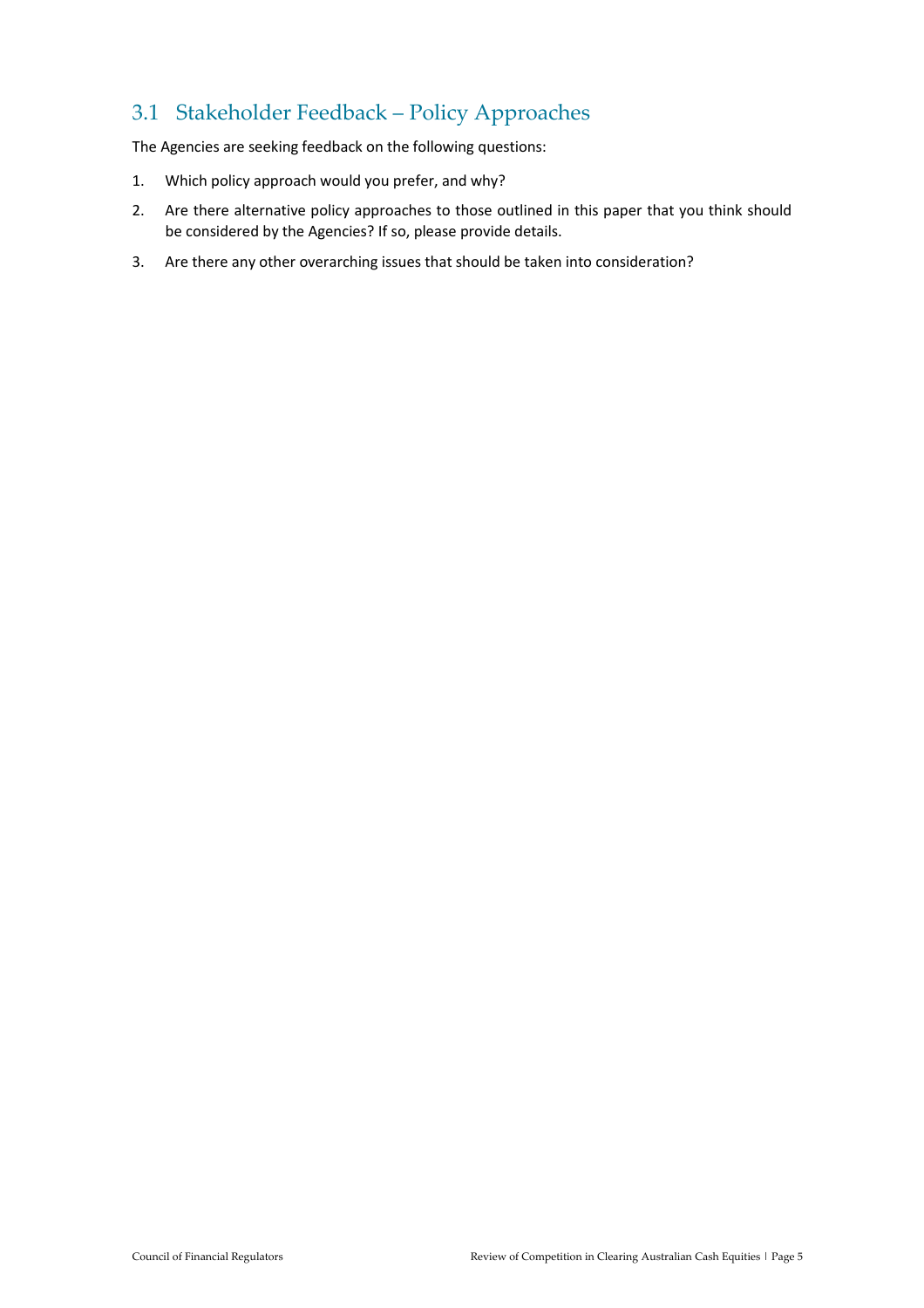## 3.1 Stakeholder Feedback – Policy Approaches

The Agencies are seeking feedback on the following questions:

- 1. Which policy approach would you prefer, and why?
- 2. Are there alternative policy approaches to those outlined in this paper that you think should be considered by the Agencies? If so, please provide details.
- 3. Are there any other overarching issues that should be taken into consideration?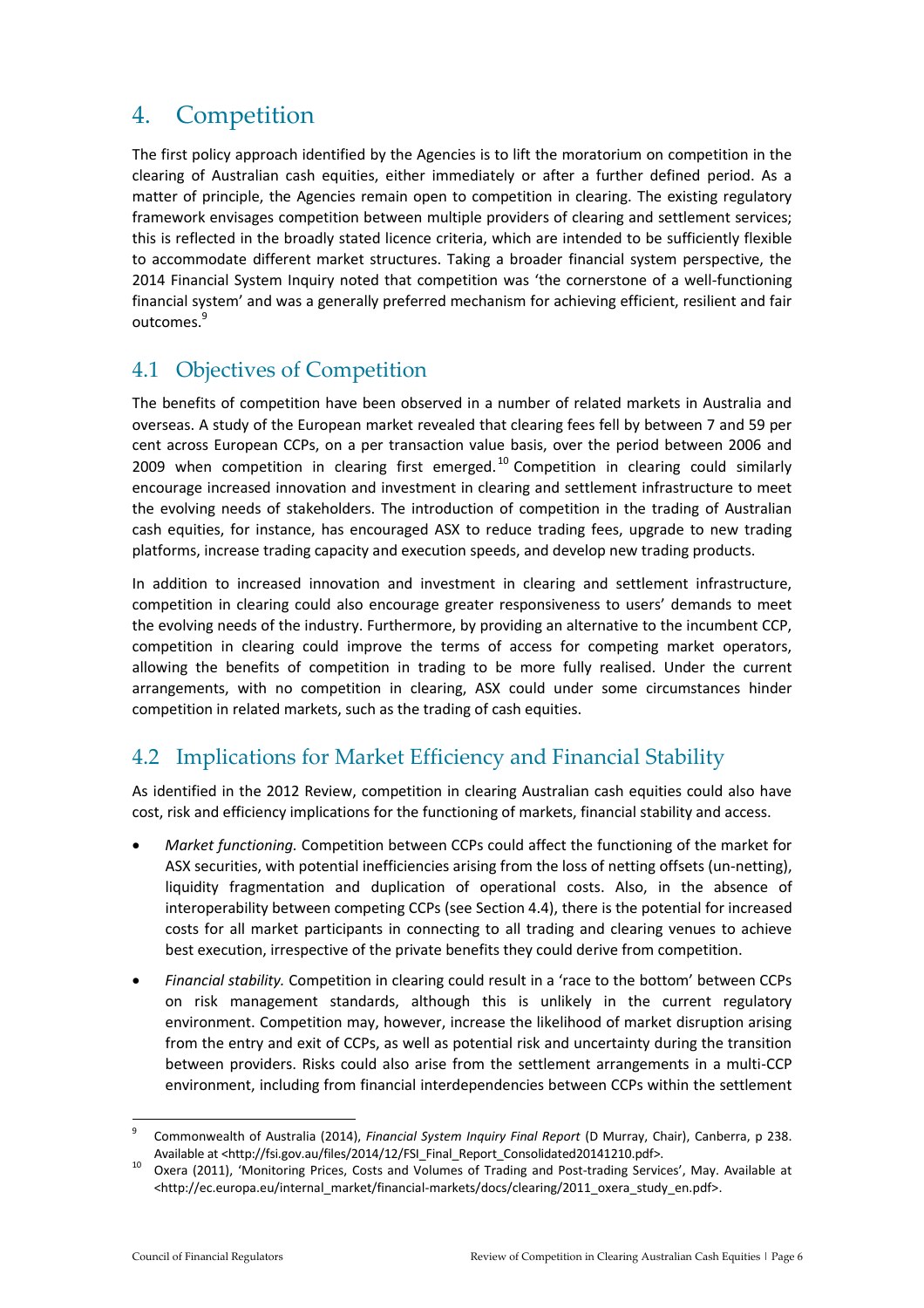## 4. Competition

The first policy approach identified by the Agencies is to lift the moratorium on competition in the clearing of Australian cash equities, either immediately or after a further defined period. As a matter of principle, the Agencies remain open to competition in clearing. The existing regulatory framework envisages competition between multiple providers of clearing and settlement services; this is reflected in the broadly stated licence criteria, which are intended to be sufficiently flexible to accommodate different market structures. Taking a broader financial system perspective, the 2014 Financial System Inquiry noted that competition was 'the cornerstone of a well-functioning financial system' and was a generally preferred mechanism for achieving efficient, resilient and fair outcomes.<sup>9</sup>

### 4.1 Objectives of Competition

The benefits of competition have been observed in a number of related markets in Australia and overseas. A study of the European market revealed that clearing fees fell by between 7 and 59 per cent across European CCPs, on a per transaction value basis, over the period between 2006 and 2009 when competition in clearing first emerged.<sup>10</sup> Competition in clearing could similarly encourage increased innovation and investment in clearing and settlement infrastructure to meet the evolving needs of stakeholders. The introduction of competition in the trading of Australian cash equities, for instance, has encouraged ASX to reduce trading fees, upgrade to new trading platforms, increase trading capacity and execution speeds, and develop new trading products.

In addition to increased innovation and investment in clearing and settlement infrastructure, competition in clearing could also encourage greater responsiveness to users' demands to meet the evolving needs of the industry. Furthermore, by providing an alternative to the incumbent CCP, competition in clearing could improve the terms of access for competing market operators, allowing the benefits of competition in trading to be more fully realised. Under the current arrangements, with no competition in clearing, ASX could under some circumstances hinder competition in related markets, such as the trading of cash equities.

## 4.2 Implications for Market Efficiency and Financial Stability

As identified in the 2012 Review, competition in clearing Australian cash equities could also have cost, risk and efficiency implications for the functioning of markets, financial stability and access.

- *Market functioning.* Competition between CCPs could affect the functioning of the market for ASX securities, with potential inefficiencies arising from the loss of netting offsets (un-netting), liquidity fragmentation and duplication of operational costs. Also, in the absence of interoperability between competing CCPs (see Section 4.4), there is the potential for increased costs for all market participants in connecting to all trading and clearing venues to achieve best execution, irrespective of the private benefits they could derive from competition.
- *Financial stability.* Competition in clearing could result in a 'race to the bottom' between CCPs on risk management standards, although this is unlikely in the current regulatory environment. Competition may, however, increase the likelihood of market disruption arising from the entry and exit of CCPs, as well as potential risk and uncertainty during the transition between providers. Risks could also arise from the settlement arrangements in a multi-CCP environment, including from financial interdependencies between CCPs within the settlement

<sup>1</sup> 9 Commonwealth of Australia (2014), *Financial System Inquiry Final Report* (D Murray, Chair), Canberra, p 238. Available at <http://fsi.gov.au/files/2014/12/FSI\_Final\_Report\_Consolidated20141210.pdf>.

<sup>10</sup> Oxera (2011), 'Monitoring Prices, Costs and Volumes of Trading and Post-trading Services', May. Available at <http://ec.europa.eu/internal\_market/financial-markets/docs/clearing/2011\_oxera\_study\_en.pdf>.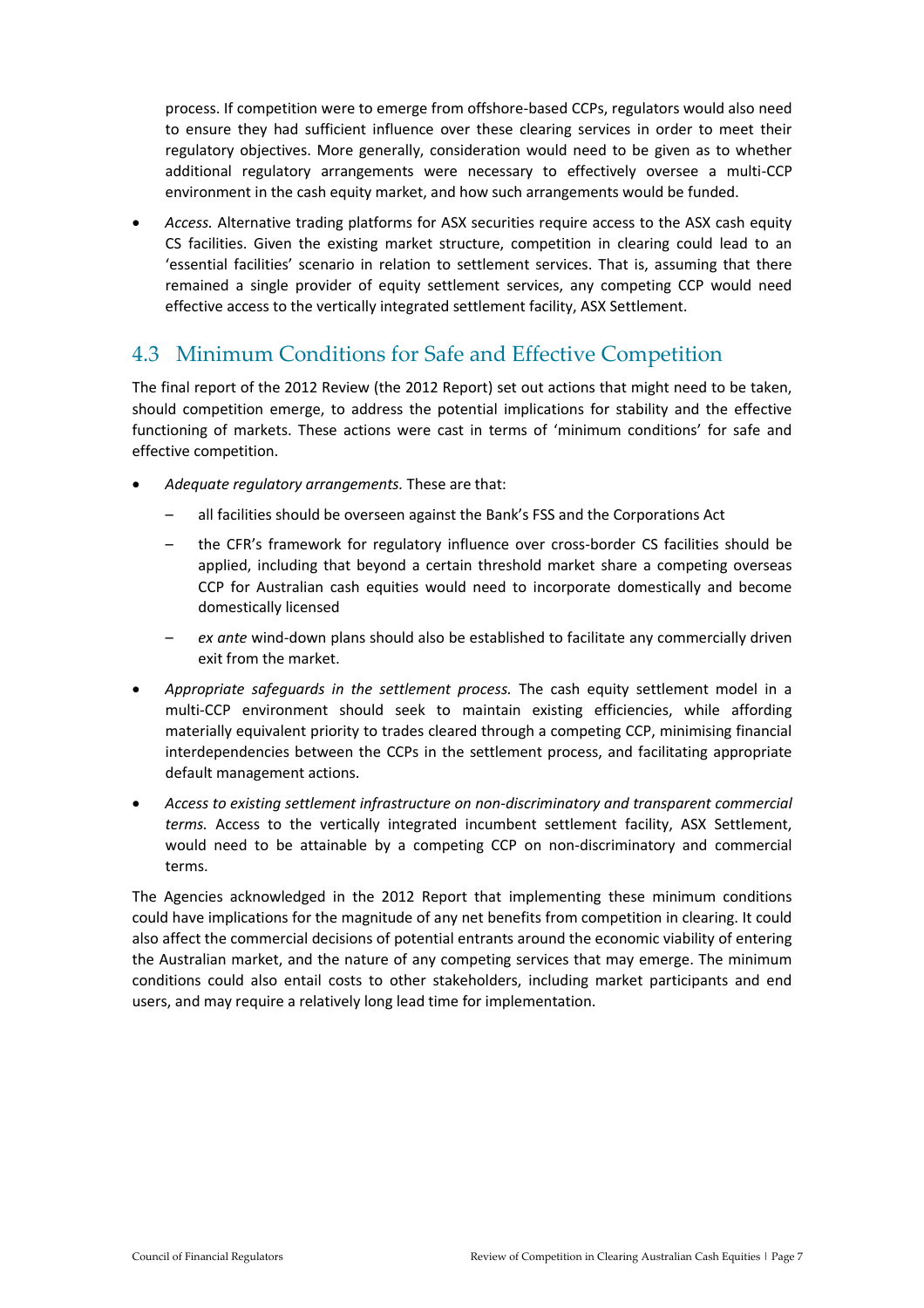process. If competition were to emerge from offshore-based CCPs, regulators would also need to ensure they had sufficient influence over these clearing services in order to meet their regulatory objectives. More generally, consideration would need to be given as to whether additional regulatory arrangements were necessary to effectively oversee a multi-CCP environment in the cash equity market, and how such arrangements would be funded.

 *Access.* Alternative trading platforms for ASX securities require access to the ASX cash equity CS facilities. Given the existing market structure, competition in clearing could lead to an 'essential facilities' scenario in relation to settlement services. That is, assuming that there remained a single provider of equity settlement services, any competing CCP would need effective access to the vertically integrated settlement facility, ASX Settlement.

#### 4.3 Minimum Conditions for Safe and Effective Competition

The final report of the 2012 Review (the 2012 Report) set out actions that might need to be taken, should competition emerge, to address the potential implications for stability and the effective functioning of markets. These actions were cast in terms of 'minimum conditions' for safe and effective competition.

- *Adequate regulatory arrangements.* These are that:
	- all facilities should be overseen against the Bank's FSS and the Corporations Act
	- the CFR's framework for regulatory influence over cross-border CS facilities should be applied, including that beyond a certain threshold market share a competing overseas CCP for Australian cash equities would need to incorporate domestically and become domestically licensed
	- *ex ante* wind-down plans should also be established to facilitate any commercially driven exit from the market.
- *Appropriate safeguards in the settlement process.* The cash equity settlement model in a multi-CCP environment should seek to maintain existing efficiencies, while affording materially equivalent priority to trades cleared through a competing CCP, minimising financial interdependencies between the CCPs in the settlement process, and facilitating appropriate default management actions.
- *Access to existing settlement infrastructure on non-discriminatory and transparent commercial terms.* Access to the vertically integrated incumbent settlement facility, ASX Settlement, would need to be attainable by a competing CCP on non-discriminatory and commercial terms.

The Agencies acknowledged in the 2012 Report that implementing these minimum conditions could have implications for the magnitude of any net benefits from competition in clearing. It could also affect the commercial decisions of potential entrants around the economic viability of entering the Australian market, and the nature of any competing services that may emerge. The minimum conditions could also entail costs to other stakeholders, including market participants and end users, and may require a relatively long lead time for implementation.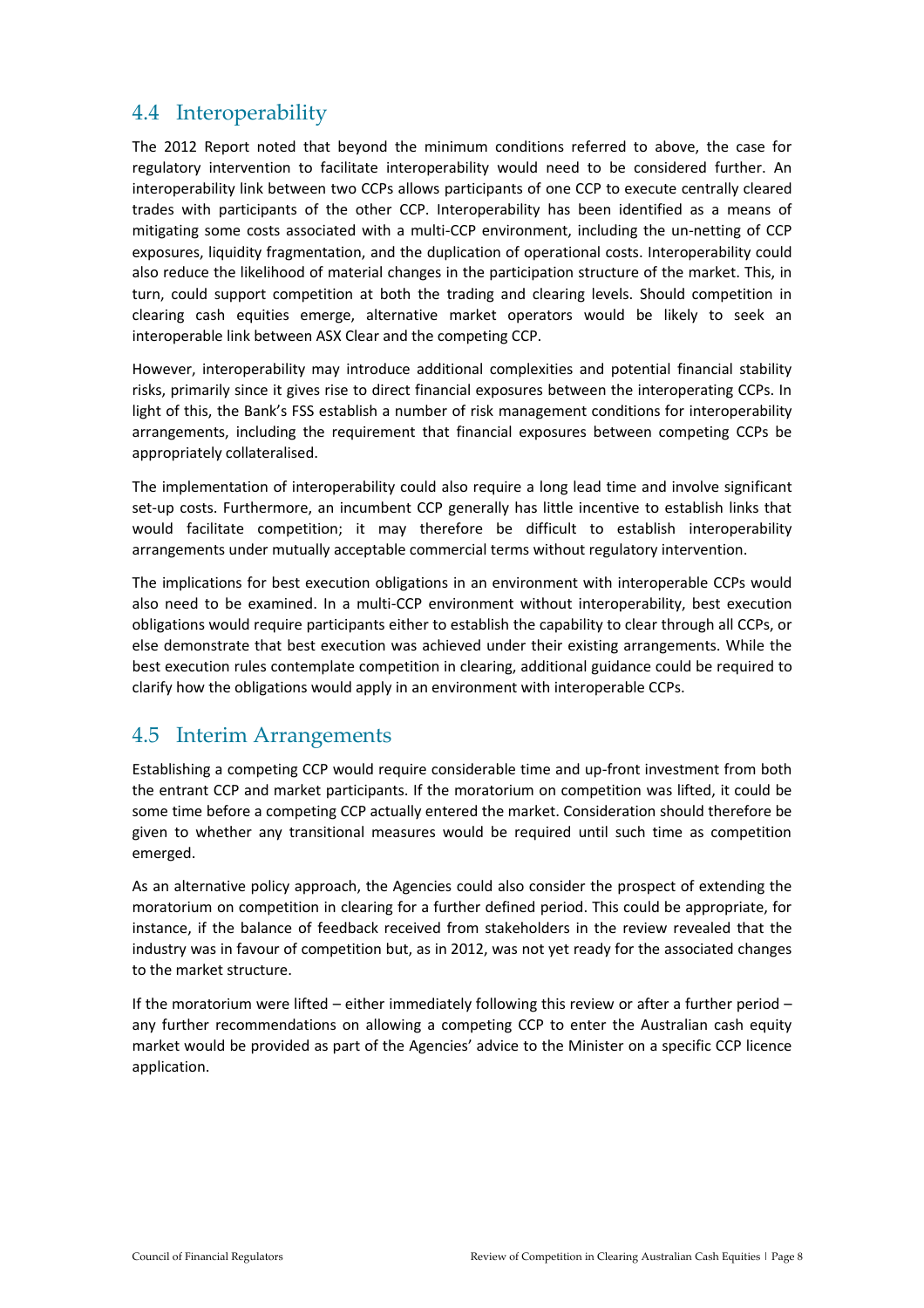#### 4.4 Interoperability

The 2012 Report noted that beyond the minimum conditions referred to above, the case for regulatory intervention to facilitate interoperability would need to be considered further. An interoperability link between two CCPs allows participants of one CCP to execute centrally cleared trades with participants of the other CCP. Interoperability has been identified as a means of mitigating some costs associated with a multi-CCP environment, including the un-netting of CCP exposures, liquidity fragmentation, and the duplication of operational costs. Interoperability could also reduce the likelihood of material changes in the participation structure of the market. This, in turn, could support competition at both the trading and clearing levels. Should competition in clearing cash equities emerge, alternative market operators would be likely to seek an interoperable link between ASX Clear and the competing CCP.

However, interoperability may introduce additional complexities and potential financial stability risks, primarily since it gives rise to direct financial exposures between the interoperating CCPs. In light of this, the Bank's FSS establish a number of risk management conditions for interoperability arrangements, including the requirement that financial exposures between competing CCPs be appropriately collateralised.

The implementation of interoperability could also require a long lead time and involve significant set-up costs. Furthermore, an incumbent CCP generally has little incentive to establish links that would facilitate competition; it may therefore be difficult to establish interoperability arrangements under mutually acceptable commercial terms without regulatory intervention.

The implications for best execution obligations in an environment with interoperable CCPs would also need to be examined. In a multi-CCP environment without interoperability, best execution obligations would require participants either to establish the capability to clear through all CCPs, or else demonstrate that best execution was achieved under their existing arrangements. While the best execution rules contemplate competition in clearing, additional guidance could be required to clarify how the obligations would apply in an environment with interoperable CCPs.

#### 4.5 Interim Arrangements

Establishing a competing CCP would require considerable time and up-front investment from both the entrant CCP and market participants. If the moratorium on competition was lifted, it could be some time before a competing CCP actually entered the market. Consideration should therefore be given to whether any transitional measures would be required until such time as competition emerged.

As an alternative policy approach, the Agencies could also consider the prospect of extending the moratorium on competition in clearing for a further defined period. This could be appropriate, for instance, if the balance of feedback received from stakeholders in the review revealed that the industry was in favour of competition but, as in 2012, was not yet ready for the associated changes to the market structure.

If the moratorium were lifted – either immediately following this review or after a further period – any further recommendations on allowing a competing CCP to enter the Australian cash equity market would be provided as part of the Agencies' advice to the Minister on a specific CCP licence application.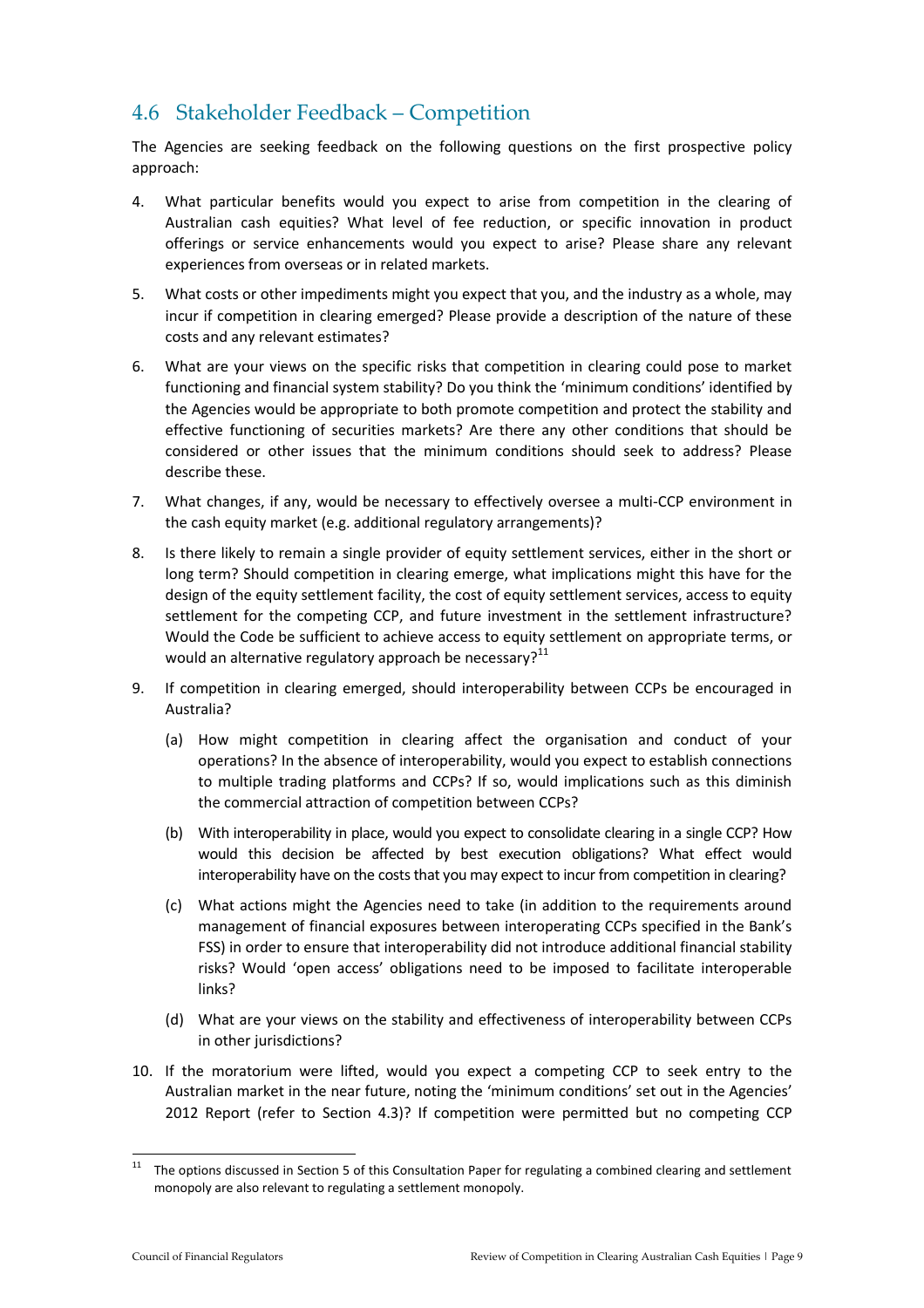#### 4.6 Stakeholder Feedback – Competition

The Agencies are seeking feedback on the following questions on the first prospective policy approach:

- 4. What particular benefits would you expect to arise from competition in the clearing of Australian cash equities? What level of fee reduction, or specific innovation in product offerings or service enhancements would you expect to arise? Please share any relevant experiences from overseas or in related markets.
- 5. What costs or other impediments might you expect that you, and the industry as a whole, may incur if competition in clearing emerged? Please provide a description of the nature of these costs and any relevant estimates?
- 6. What are your views on the specific risks that competition in clearing could pose to market functioning and financial system stability? Do you think the 'minimum conditions' identified by the Agencies would be appropriate to both promote competition and protect the stability and effective functioning of securities markets? Are there any other conditions that should be considered or other issues that the minimum conditions should seek to address? Please describe these.
- 7. What changes, if any, would be necessary to effectively oversee a multi-CCP environment in the cash equity market (e.g. additional regulatory arrangements)?
- 8. Is there likely to remain a single provider of equity settlement services, either in the short or long term? Should competition in clearing emerge, what implications might this have for the design of the equity settlement facility, the cost of equity settlement services, access to equity settlement for the competing CCP, and future investment in the settlement infrastructure? Would the Code be sufficient to achieve access to equity settlement on appropriate terms, or would an alternative regulatory approach be necessary? $11$
- 9. If competition in clearing emerged, should interoperability between CCPs be encouraged in Australia?
	- (a) How might competition in clearing affect the organisation and conduct of your operations? In the absence of interoperability, would you expect to establish connections to multiple trading platforms and CCPs? If so, would implications such as this diminish the commercial attraction of competition between CCPs?
	- (b) With interoperability in place, would you expect to consolidate clearing in a single CCP? How would this decision be affected by best execution obligations? What effect would interoperability have on the costs that you may expect to incur from competition in clearing?
	- (c) What actions might the Agencies need to take (in addition to the requirements around management of financial exposures between interoperating CCPs specified in the Bank's FSS) in order to ensure that interoperability did not introduce additional financial stability risks? Would 'open access' obligations need to be imposed to facilitate interoperable links?
	- (d) What are your views on the stability and effectiveness of interoperability between CCPs in other jurisdictions?
- 10. If the moratorium were lifted, would you expect a competing CCP to seek entry to the Australian market in the near future, noting the 'minimum conditions' set out in the Agencies' 2012 Report (refer to Section 4.3)? If competition were permitted but no competing CCP

 $11\,$ <sup>11</sup> The options discussed in Section 5 of this Consultation Paper for regulating a combined clearing and settlement monopoly are also relevant to regulating a settlement monopoly.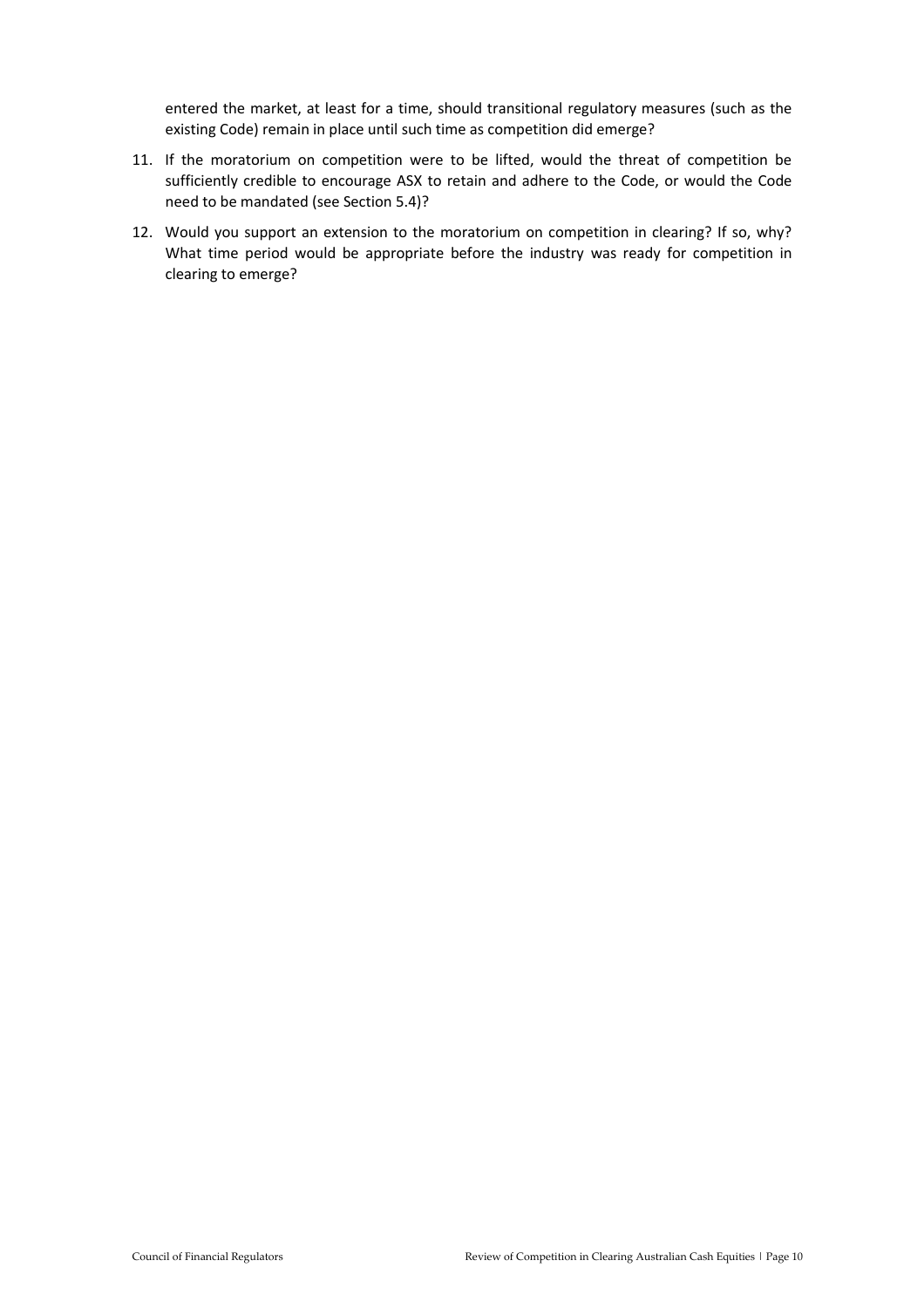entered the market, at least for a time, should transitional regulatory measures (such as the existing Code) remain in place until such time as competition did emerge?

- 11. If the moratorium on competition were to be lifted, would the threat of competition be sufficiently credible to encourage ASX to retain and adhere to the Code, or would the Code need to be mandated (see Section 5.4)?
- 12. Would you support an extension to the moratorium on competition in clearing? If so, why? What time period would be appropriate before the industry was ready for competition in clearing to emerge?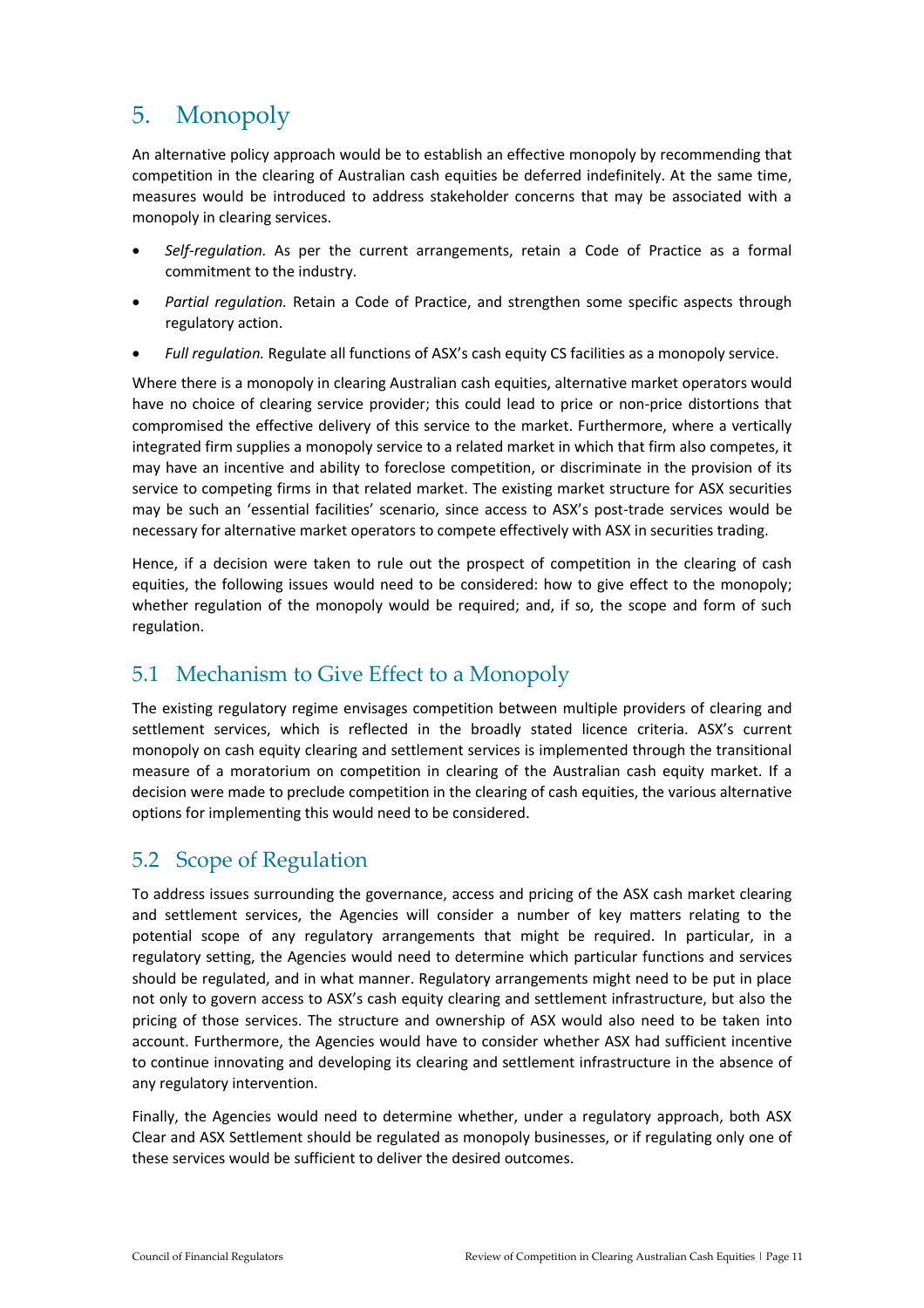# 5. Monopoly

An alternative policy approach would be to establish an effective monopoly by recommending that competition in the clearing of Australian cash equities be deferred indefinitely. At the same time, measures would be introduced to address stakeholder concerns that may be associated with a monopoly in clearing services.

- *Self-regulation.* As per the current arrangements, retain a Code of Practice as a formal commitment to the industry.
- *Partial regulation.* Retain a Code of Practice, and strengthen some specific aspects through regulatory action.
- *Full regulation.* Regulate all functions of ASX's cash equity CS facilities as a monopoly service.

Where there is a monopoly in clearing Australian cash equities, alternative market operators would have no choice of clearing service provider; this could lead to price or non-price distortions that compromised the effective delivery of this service to the market. Furthermore, where a vertically integrated firm supplies a monopoly service to a related market in which that firm also competes, it may have an incentive and ability to foreclose competition, or discriminate in the provision of its service to competing firms in that related market. The existing market structure for ASX securities may be such an 'essential facilities' scenario, since access to ASX's post-trade services would be necessary for alternative market operators to compete effectively with ASX in securities trading.

Hence, if a decision were taken to rule out the prospect of competition in the clearing of cash equities, the following issues would need to be considered: how to give effect to the monopoly; whether regulation of the monopoly would be required; and, if so, the scope and form of such regulation.

## 5.1 Mechanism to Give Effect to a Monopoly

The existing regulatory regime envisages competition between multiple providers of clearing and settlement services, which is reflected in the broadly stated licence criteria. ASX's current monopoly on cash equity clearing and settlement services is implemented through the transitional measure of a moratorium on competition in clearing of the Australian cash equity market. If a decision were made to preclude competition in the clearing of cash equities, the various alternative options for implementing this would need to be considered.

#### 5.2 Scope of Regulation

To address issues surrounding the governance, access and pricing of the ASX cash market clearing and settlement services, the Agencies will consider a number of key matters relating to the potential scope of any regulatory arrangements that might be required. In particular, in a regulatory setting, the Agencies would need to determine which particular functions and services should be regulated, and in what manner. Regulatory arrangements might need to be put in place not only to govern access to ASX's cash equity clearing and settlement infrastructure, but also the pricing of those services. The structure and ownership of ASX would also need to be taken into account. Furthermore, the Agencies would have to consider whether ASX had sufficient incentive to continue innovating and developing its clearing and settlement infrastructure in the absence of any regulatory intervention.

Finally, the Agencies would need to determine whether, under a regulatory approach, both ASX Clear and ASX Settlement should be regulated as monopoly businesses, or if regulating only one of these services would be sufficient to deliver the desired outcomes.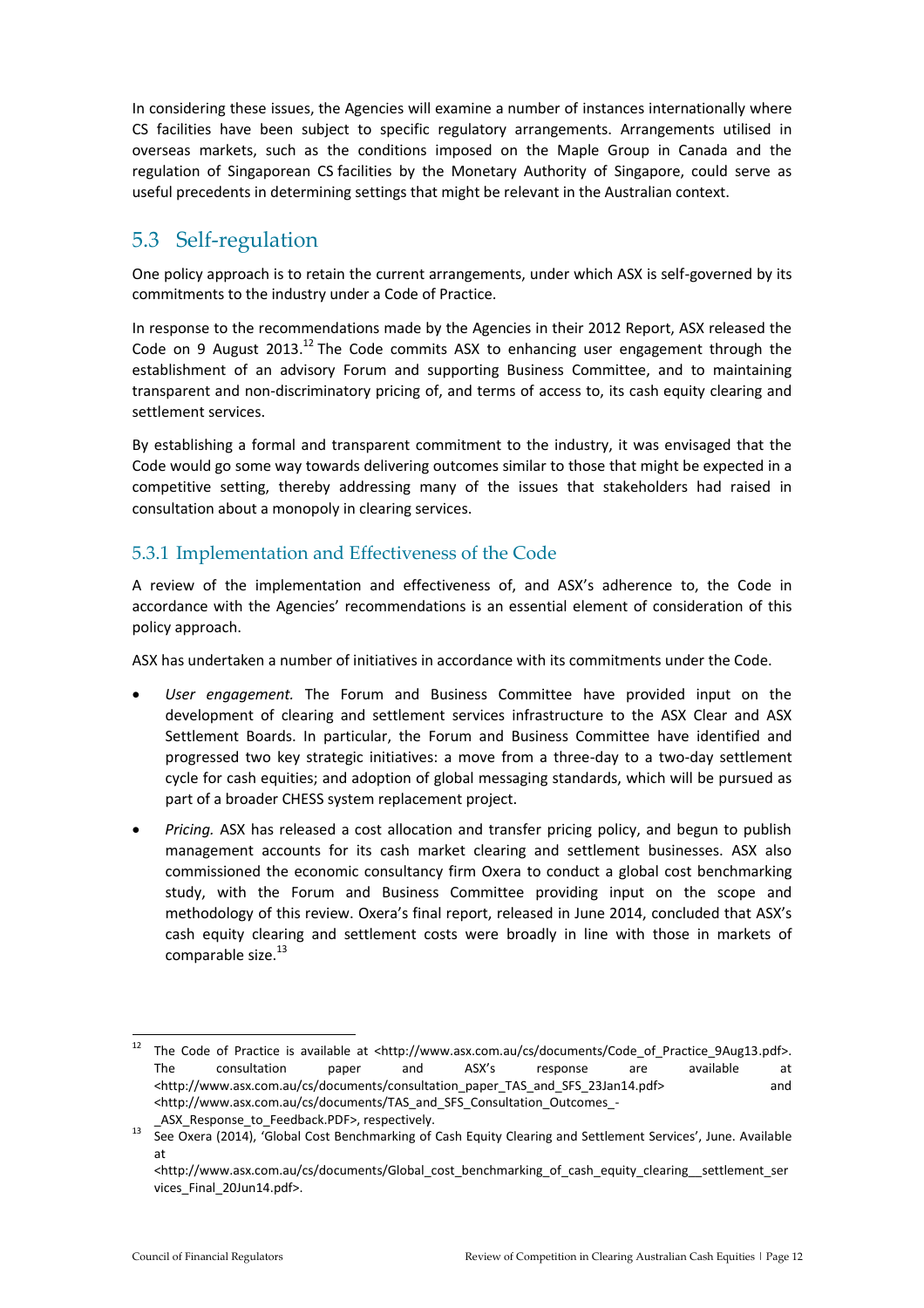In considering these issues, the Agencies will examine a number of instances internationally where CS facilities have been subject to specific regulatory arrangements. Arrangements utilised in overseas markets, such as the conditions imposed on the Maple Group in Canada and the regulation of Singaporean CS facilities by the Monetary Authority of Singapore, could serve as useful precedents in determining settings that might be relevant in the Australian context.

#### 5.3 Self-regulation

One policy approach is to retain the current arrangements, under which ASX is self-governed by its commitments to the industry under a Code of Practice.

In response to the recommendations made by the Agencies in their 2012 Report, ASX released the Code on 9 August 2013.<sup>12</sup> The Code commits ASX to enhancing user engagement through the establishment of an advisory Forum and supporting Business Committee, and to maintaining transparent and non-discriminatory pricing of, and terms of access to, its cash equity clearing and settlement services.

By establishing a formal and transparent commitment to the industry, it was envisaged that the Code would go some way towards delivering outcomes similar to those that might be expected in a competitive setting, thereby addressing many of the issues that stakeholders had raised in consultation about a monopoly in clearing services.

#### 5.3.1 Implementation and Effectiveness of the Code

A review of the implementation and effectiveness of, and ASX's adherence to, the Code in accordance with the Agencies' recommendations is an essential element of consideration of this policy approach.

ASX has undertaken a number of initiatives in accordance with its commitments under the Code.

- *User engagement.* The Forum and Business Committee have provided input on the development of clearing and settlement services infrastructure to the ASX Clear and ASX Settlement Boards. In particular, the Forum and Business Committee have identified and progressed two key strategic initiatives: a move from a three-day to a two-day settlement cycle for cash equities; and adoption of global messaging standards, which will be pursued as part of a broader CHESS system replacement project.
- *Pricing.* ASX has released a cost allocation and transfer pricing policy, and begun to publish management accounts for its cash market clearing and settlement businesses. ASX also commissioned the economic consultancy firm Oxera to conduct a global cost benchmarking study, with the Forum and Business Committee providing input on the scope and methodology of this review. Oxera's final report, released in June 2014, concluded that ASX's cash equity clearing and settlement costs were broadly in line with those in markets of comparable size. $^{13}$

<sup>12</sup> The Code of Practice is available at <http://www.asx.com.au/cs/documents/Code of Practice 9Aug13.pdf>. The consultation paper and ASX's response are available at <http://www.asx.com.au/cs/documents/consultation\_paper\_TAS\_and\_SFS\_23Jan14.pdf> and <http://www.asx.com.au/cs/documents/TAS\_and\_SFS\_Consultation\_Outcomes\_-

ASX Response to Feedback.PDF>, respectively.

<sup>&</sup>lt;sup>13</sup> See Oxera (2014), 'Global Cost Benchmarking of Cash Equity Clearing and Settlement Services', June. Available at

<sup>&</sup>lt;http://www.asx.com.au/cs/documents/Global\_cost\_benchmarking\_of\_cash\_equity\_clearing\_settlement\_ser vices\_Final\_20Jun14.pdf>.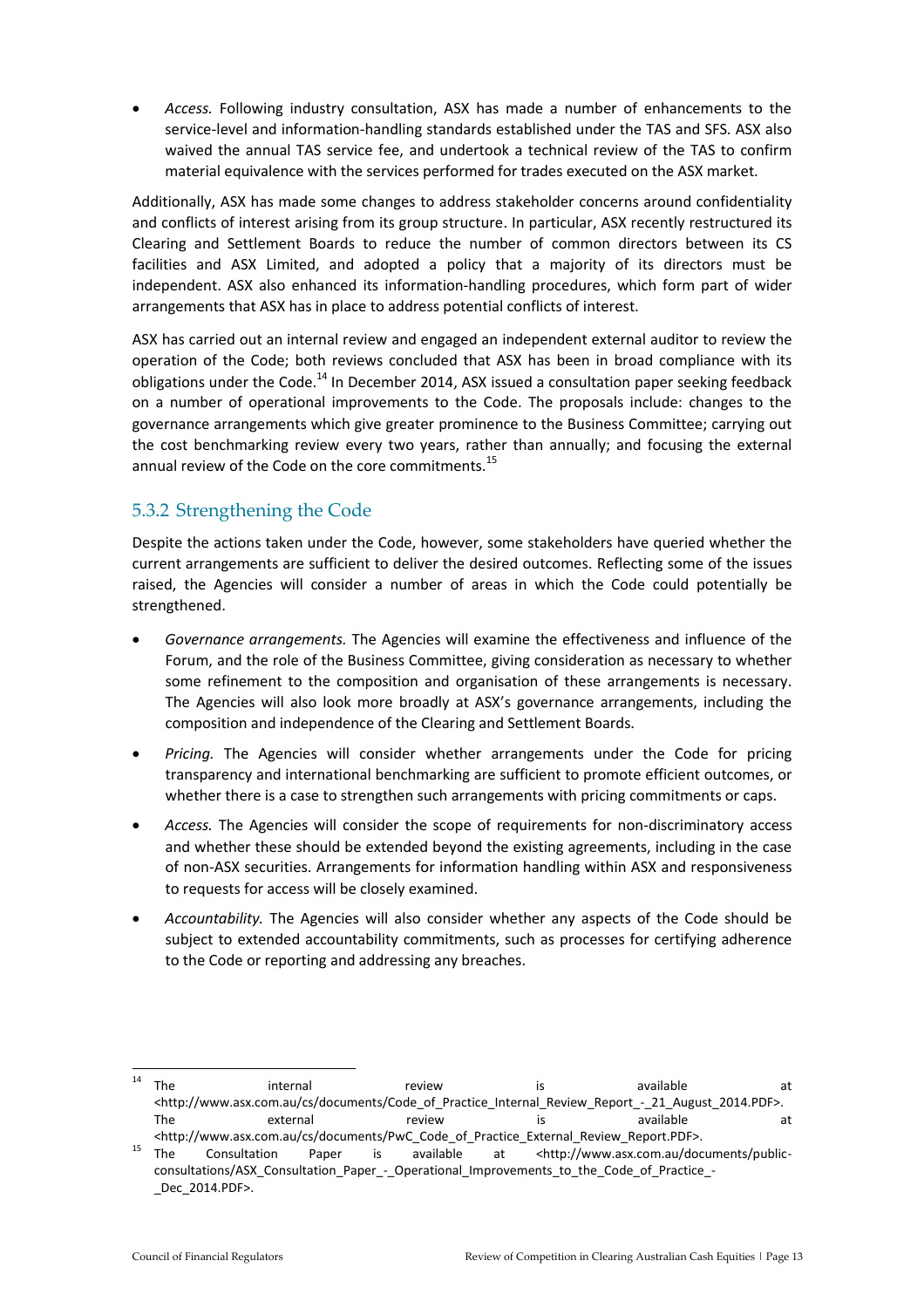*Access.* Following industry consultation, ASX has made a number of enhancements to the service-level and information-handling standards established under the TAS and SFS. ASX also waived the annual TAS service fee, and undertook a technical review of the TAS to confirm material equivalence with the services performed for trades executed on the ASX market.

Additionally, ASX has made some changes to address stakeholder concerns around confidentiality and conflicts of interest arising from its group structure. In particular, ASX recently restructured its Clearing and Settlement Boards to reduce the number of common directors between its CS facilities and ASX Limited, and adopted a policy that a majority of its directors must be independent. ASX also enhanced its information-handling procedures, which form part of wider arrangements that ASX has in place to address potential conflicts of interest.

ASX has carried out an internal review and engaged an independent external auditor to review the operation of the Code; both reviews concluded that ASX has been in broad compliance with its obligations under the Code.<sup>14</sup> In December 2014, ASX issued a consultation paper seeking feedback on a number of operational improvements to the Code. The proposals include: changes to the governance arrangements which give greater prominence to the Business Committee; carrying out the cost benchmarking review every two years, rather than annually; and focusing the external annual review of the Code on the core commitments.<sup>15</sup>

#### 5.3.2 Strengthening the Code

Despite the actions taken under the Code, however, some stakeholders have queried whether the current arrangements are sufficient to deliver the desired outcomes. Reflecting some of the issues raised, the Agencies will consider a number of areas in which the Code could potentially be strengthened.

- *Governance arrangements.* The Agencies will examine the effectiveness and influence of the Forum, and the role of the Business Committee, giving consideration as necessary to whether some refinement to the composition and organisation of these arrangements is necessary. The Agencies will also look more broadly at ASX's governance arrangements, including the composition and independence of the Clearing and Settlement Boards.
- *Pricing.* The Agencies will consider whether arrangements under the Code for pricing transparency and international benchmarking are sufficient to promote efficient outcomes, or whether there is a case to strengthen such arrangements with pricing commitments or caps.
- *Access.* The Agencies will consider the scope of requirements for non-discriminatory access and whether these should be extended beyond the existing agreements, including in the case of non-ASX securities. Arrangements for information handling within ASX and responsiveness to requests for access will be closely examined.
- *Accountability.* The Agencies will also consider whether any aspects of the Code should be subject to extended accountability commitments, such as processes for certifying adherence to the Code or reporting and addressing any breaches.

1

 $14$  The internal review is available at <http://www.asx.com.au/cs/documents/Code\_of\_Practice\_Internal\_Review\_Report\_-\_21\_August\_2014.PDF>. The external external review is available at at <http://www.asx.com.au/cs/documents/PwC\_Code\_of\_Practice\_External\_Review\_Report.PDF>.

<sup>15</sup> The Consultation Paper is available at <http://www.asx.com.au/documents/publicconsultations/ASX\_Consultation\_Paper\_-\_Operational\_Improvements\_to\_the\_Code\_of\_Practice\_- \_Dec\_2014.PDF>.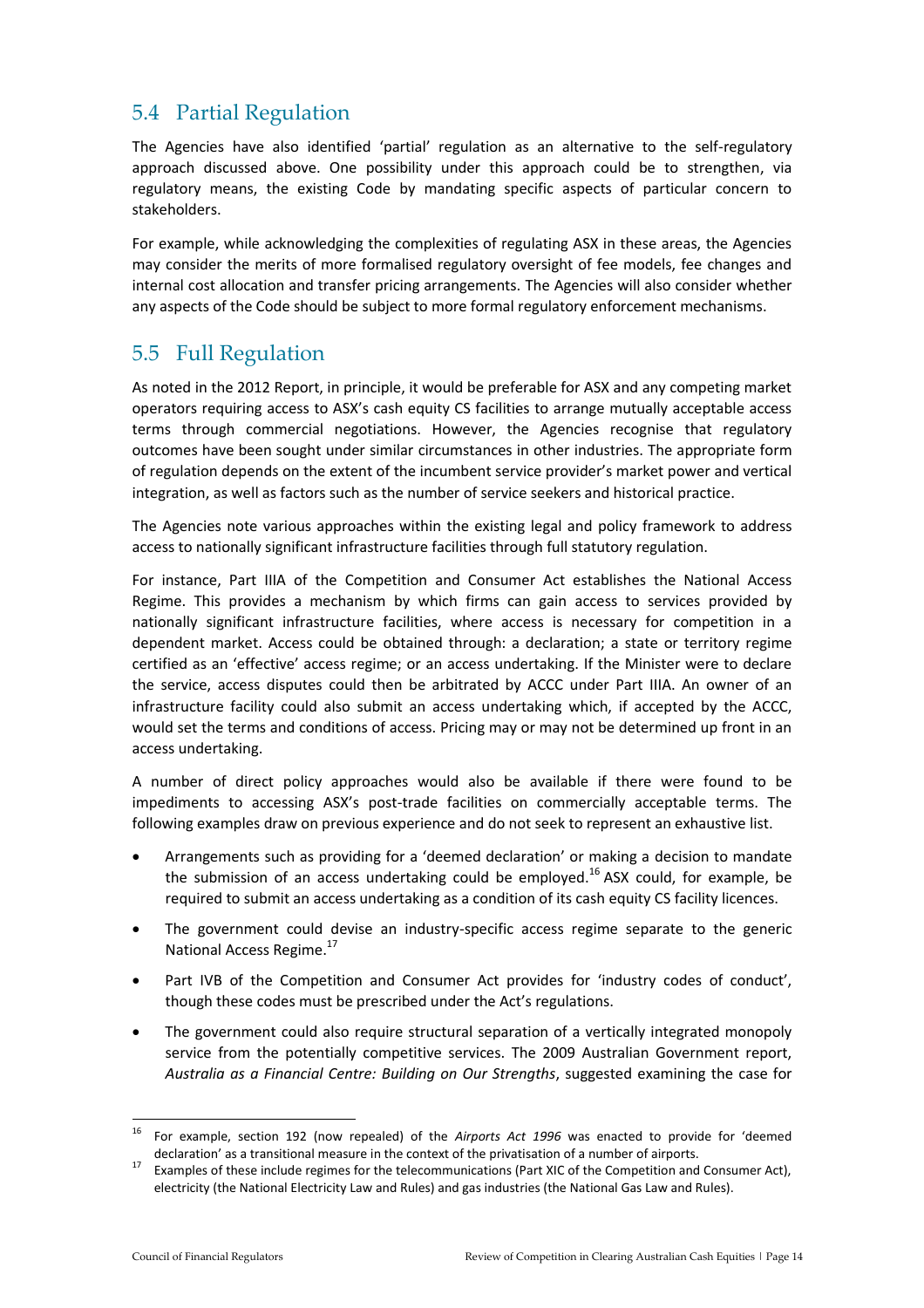### 5.4 Partial Regulation

The Agencies have also identified 'partial' regulation as an alternative to the self-regulatory approach discussed above. One possibility under this approach could be to strengthen, via regulatory means, the existing Code by mandating specific aspects of particular concern to stakeholders.

For example, while acknowledging the complexities of regulating ASX in these areas, the Agencies may consider the merits of more formalised regulatory oversight of fee models, fee changes and internal cost allocation and transfer pricing arrangements. The Agencies will also consider whether any aspects of the Code should be subject to more formal regulatory enforcement mechanisms.

### 5.5 Full Regulation

As noted in the 2012 Report, in principle, it would be preferable for ASX and any competing market operators requiring access to ASX's cash equity CS facilities to arrange mutually acceptable access terms through commercial negotiations. However, the Agencies recognise that regulatory outcomes have been sought under similar circumstances in other industries. The appropriate form of regulation depends on the extent of the incumbent service provider's market power and vertical integration, as well as factors such as the number of service seekers and historical practice.

The Agencies note various approaches within the existing legal and policy framework to address access to nationally significant infrastructure facilities through full statutory regulation.

For instance, Part IIIA of the Competition and Consumer Act establishes the National Access Regime. This provides a mechanism by which firms can gain access to services provided by nationally significant infrastructure facilities, where access is necessary for competition in a dependent market. Access could be obtained through: a declaration; a state or territory regime certified as an 'effective' access regime; or an access undertaking. If the Minister were to declare the service, access disputes could then be arbitrated by ACCC under Part IIIA. An owner of an infrastructure facility could also submit an access undertaking which, if accepted by the ACCC, would set the terms and conditions of access. Pricing may or may not be determined up front in an access undertaking.

A number of direct policy approaches would also be available if there were found to be impediments to accessing ASX's post-trade facilities on commercially acceptable terms. The following examples draw on previous experience and do not seek to represent an exhaustive list.

- Arrangements such as providing for a 'deemed declaration' or making a decision to mandate the submission of an access undertaking could be employed.<sup>16</sup> ASX could, for example, be required to submit an access undertaking as a condition of its cash equity CS facility licences.
- The government could devise an industry-specific access regime separate to the generic National Access Regime.<sup>17</sup>
- Part IVB of the Competition and Consumer Act provides for 'industry codes of conduct', though these codes must be prescribed under the Act's regulations.
- The government could also require structural separation of a vertically integrated monopoly service from the potentially competitive services. The 2009 Australian Government report, *Australia as a Financial Centre: Building on Our Strengths*, suggested examining the case for

<sup>16</sup> <sup>16</sup> For example, section 192 (now repealed) of the *Airports Act 1996* was enacted to provide for 'deemed declaration' as a transitional measure in the context of the privatisation of a number of airports.

<sup>&</sup>lt;sup>17</sup> Examples of these include regimes for the telecommunications (Part XIC of the Competition and Consumer Act), electricity (the National Electricity Law and Rules) and gas industries (the National Gas Law and Rules).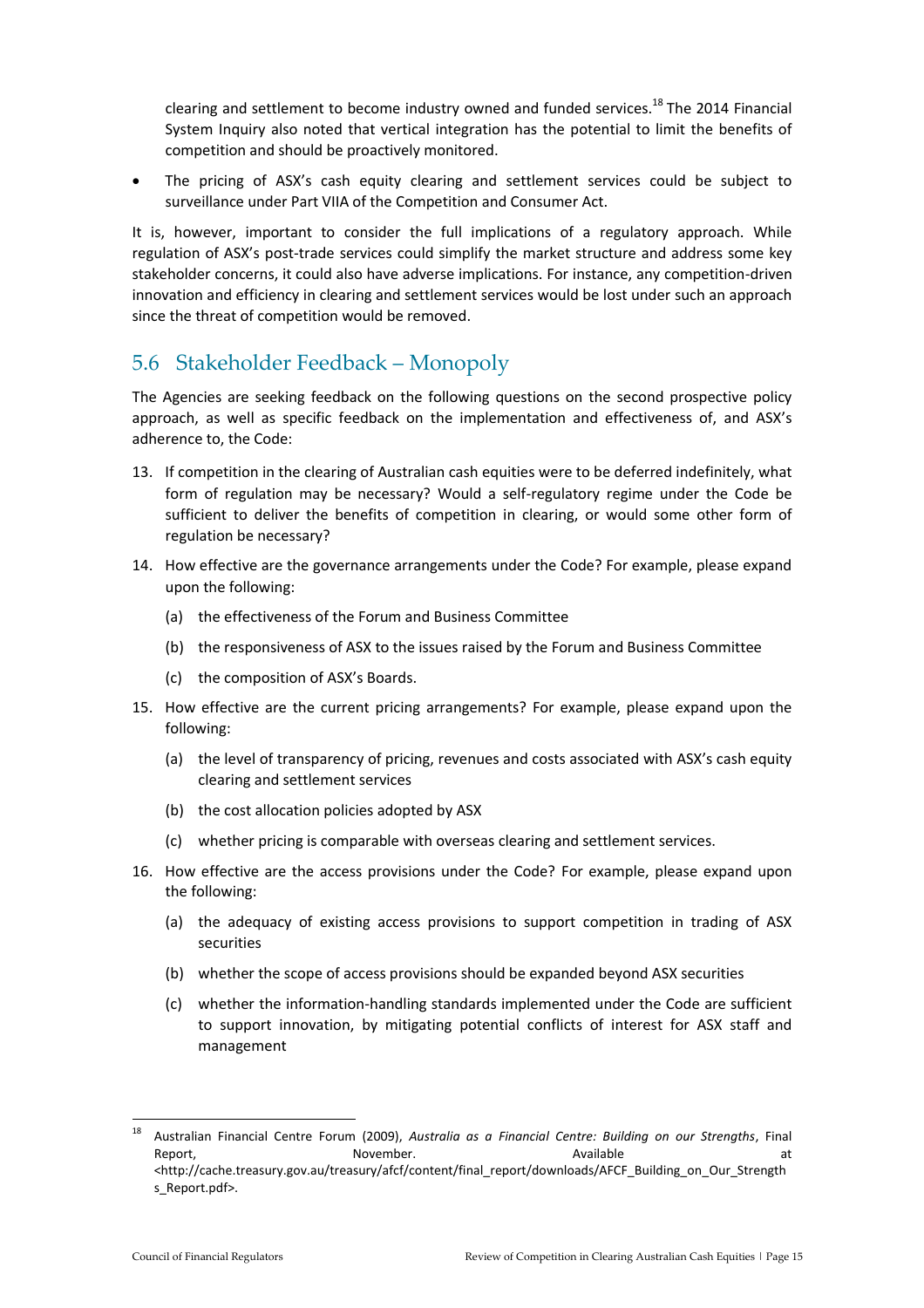clearing and settlement to become industry owned and funded services.<sup>18</sup> The 2014 Financial System Inquiry also noted that vertical integration has the potential to limit the benefits of competition and should be proactively monitored.

 The pricing of ASX's cash equity clearing and settlement services could be subject to surveillance under Part VIIA of the Competition and Consumer Act.

It is, however, important to consider the full implications of a regulatory approach. While regulation of ASX's post-trade services could simplify the market structure and address some key stakeholder concerns, it could also have adverse implications. For instance, any competition-driven innovation and efficiency in clearing and settlement services would be lost under such an approach since the threat of competition would be removed.

#### 5.6 Stakeholder Feedback – Monopoly

The Agencies are seeking feedback on the following questions on the second prospective policy approach, as well as specific feedback on the implementation and effectiveness of, and ASX's adherence to, the Code:

- 13. If competition in the clearing of Australian cash equities were to be deferred indefinitely, what form of regulation may be necessary? Would a self-regulatory regime under the Code be sufficient to deliver the benefits of competition in clearing, or would some other form of regulation be necessary?
- 14. How effective are the governance arrangements under the Code? For example, please expand upon the following:
	- (a) the effectiveness of the Forum and Business Committee
	- (b) the responsiveness of ASX to the issues raised by the Forum and Business Committee
	- (c) the composition of ASX's Boards.
- 15. How effective are the current pricing arrangements? For example, please expand upon the following:
	- (a) the level of transparency of pricing, revenues and costs associated with ASX's cash equity clearing and settlement services
	- (b) the cost allocation policies adopted by ASX
	- (c) whether pricing is comparable with overseas clearing and settlement services.
- 16. How effective are the access provisions under the Code? For example, please expand upon the following:
	- (a) the adequacy of existing access provisions to support competition in trading of ASX securities
	- (b) whether the scope of access provisions should be expanded beyond ASX securities
	- (c) whether the information-handling standards implemented under the Code are sufficient to support innovation, by mitigating potential conflicts of interest for ASX staff and management

<sup>18</sup> <sup>18</sup> Australian Financial Centre Forum (2009), *Australia as a Financial Centre: Building on our Strengths*, Final Report, and the subset of the November. Available at the Available at the Separation of the Separation of the S <http://cache.treasury.gov.au/treasury/afcf/content/final\_report/downloads/AFCF\_Building\_on\_Our\_Strength s\_Report.pdf>.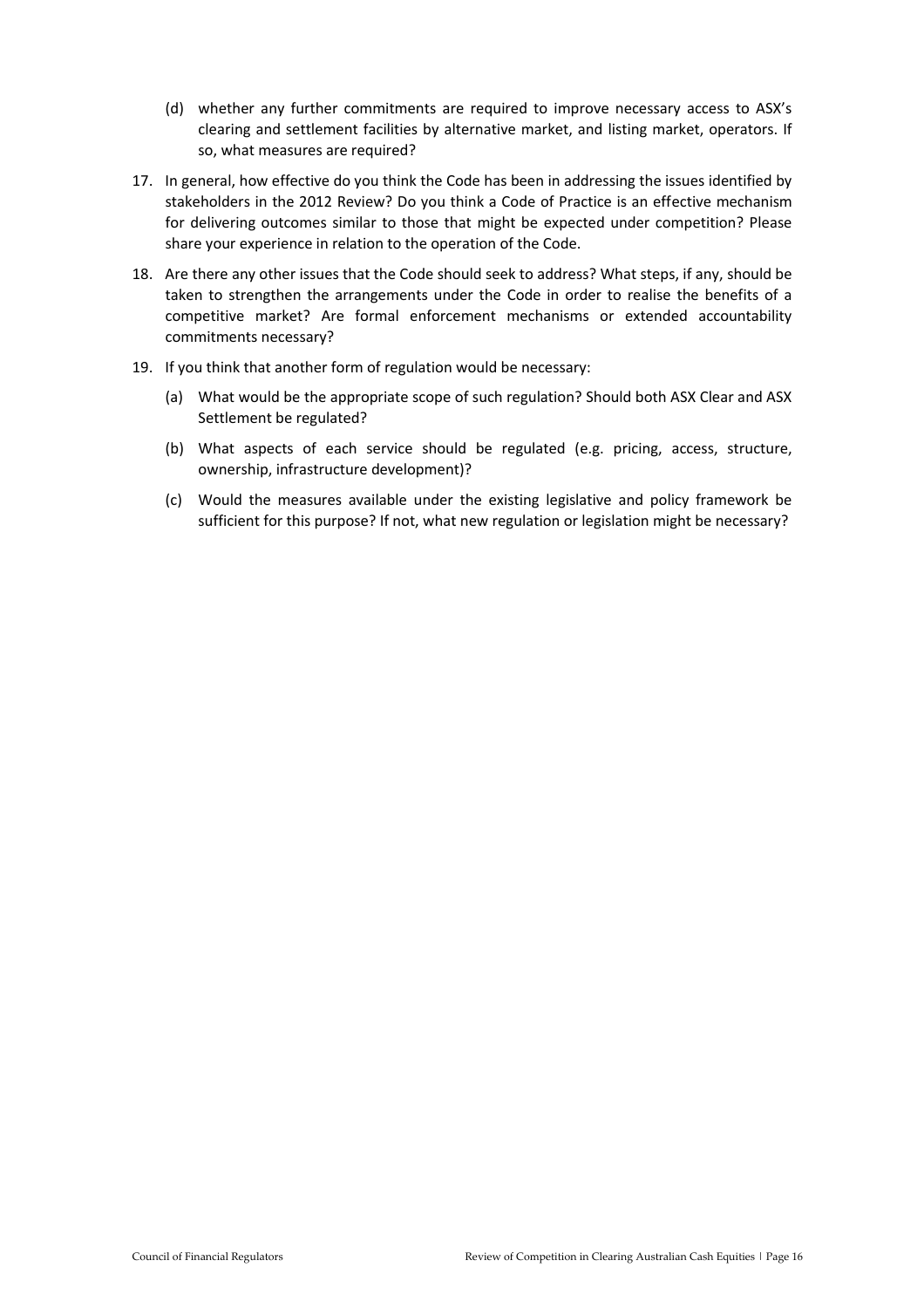- (d) whether any further commitments are required to improve necessary access to ASX's clearing and settlement facilities by alternative market, and listing market, operators. If so, what measures are required?
- 17. In general, how effective do you think the Code has been in addressing the issues identified by stakeholders in the 2012 Review? Do you think a Code of Practice is an effective mechanism for delivering outcomes similar to those that might be expected under competition? Please share your experience in relation to the operation of the Code.
- 18. Are there any other issues that the Code should seek to address? What steps, if any, should be taken to strengthen the arrangements under the Code in order to realise the benefits of a competitive market? Are formal enforcement mechanisms or extended accountability commitments necessary?
- 19. If you think that another form of regulation would be necessary:
	- (a) What would be the appropriate scope of such regulation? Should both ASX Clear and ASX Settlement be regulated?
	- (b) What aspects of each service should be regulated (e.g. pricing, access, structure, ownership, infrastructure development)?
	- (c) Would the measures available under the existing legislative and policy framework be sufficient for this purpose? If not, what new regulation or legislation might be necessary?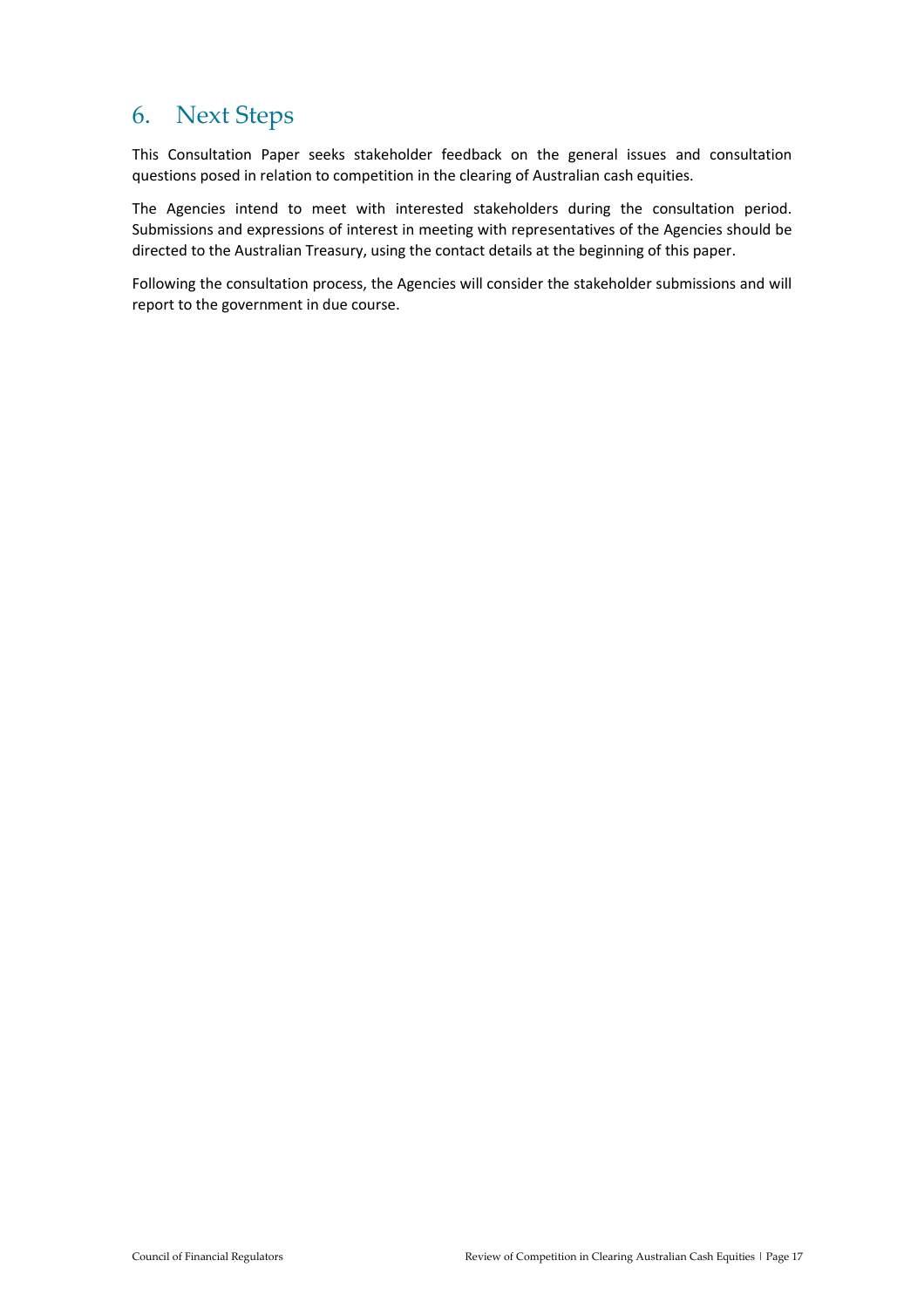## 6. Next Steps

This Consultation Paper seeks stakeholder feedback on the general issues and consultation questions posed in relation to competition in the clearing of Australian cash equities.

The Agencies intend to meet with interested stakeholders during the consultation period. Submissions and expressions of interest in meeting with representatives of the Agencies should be directed to the Australian Treasury, using the contact details at the beginning of this paper.

Following the consultation process, the Agencies will consider the stakeholder submissions and will report to the government in due course.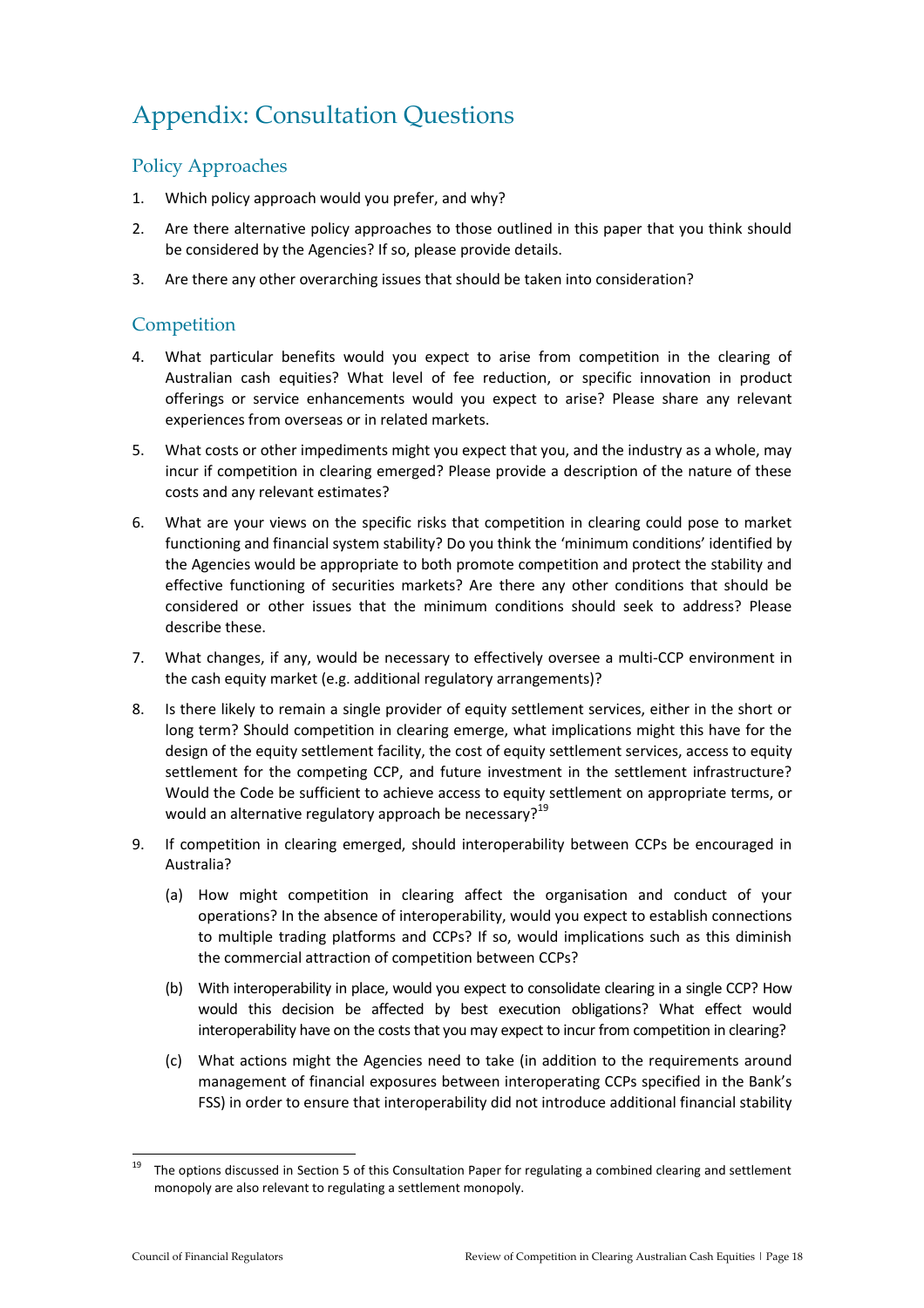# Appendix: Consultation Questions

#### Policy Approaches

- 1. Which policy approach would you prefer, and why?
- 2. Are there alternative policy approaches to those outlined in this paper that you think should be considered by the Agencies? If so, please provide details.
- 3. Are there any other overarching issues that should be taken into consideration?

#### **Competition**

- 4. What particular benefits would you expect to arise from competition in the clearing of Australian cash equities? What level of fee reduction, or specific innovation in product offerings or service enhancements would you expect to arise? Please share any relevant experiences from overseas or in related markets.
- 5. What costs or other impediments might you expect that you, and the industry as a whole, may incur if competition in clearing emerged? Please provide a description of the nature of these costs and any relevant estimates?
- 6. What are your views on the specific risks that competition in clearing could pose to market functioning and financial system stability? Do you think the 'minimum conditions' identified by the Agencies would be appropriate to both promote competition and protect the stability and effective functioning of securities markets? Are there any other conditions that should be considered or other issues that the minimum conditions should seek to address? Please describe these.
- 7. What changes, if any, would be necessary to effectively oversee a multi-CCP environment in the cash equity market (e.g. additional regulatory arrangements)?
- 8. Is there likely to remain a single provider of equity settlement services, either in the short or long term? Should competition in clearing emerge, what implications might this have for the design of the equity settlement facility, the cost of equity settlement services, access to equity settlement for the competing CCP, and future investment in the settlement infrastructure? Would the Code be sufficient to achieve access to equity settlement on appropriate terms, or would an alternative regulatory approach be necessary?<sup>19</sup>
- 9. If competition in clearing emerged, should interoperability between CCPs be encouraged in Australia?
	- (a) How might competition in clearing affect the organisation and conduct of your operations? In the absence of interoperability, would you expect to establish connections to multiple trading platforms and CCPs? If so, would implications such as this diminish the commercial attraction of competition between CCPs?
	- (b) With interoperability in place, would you expect to consolidate clearing in a single CCP? How would this decision be affected by best execution obligations? What effect would interoperability have on the costs that you may expect to incur from competition in clearing?
	- (c) What actions might the Agencies need to take (in addition to the requirements around management of financial exposures between interoperating CCPs specified in the Bank's FSS) in order to ensure that interoperability did not introduce additional financial stability

1

<sup>19</sup> The options discussed in Section 5 of this Consultation Paper for regulating a combined clearing and settlement monopoly are also relevant to regulating a settlement monopoly.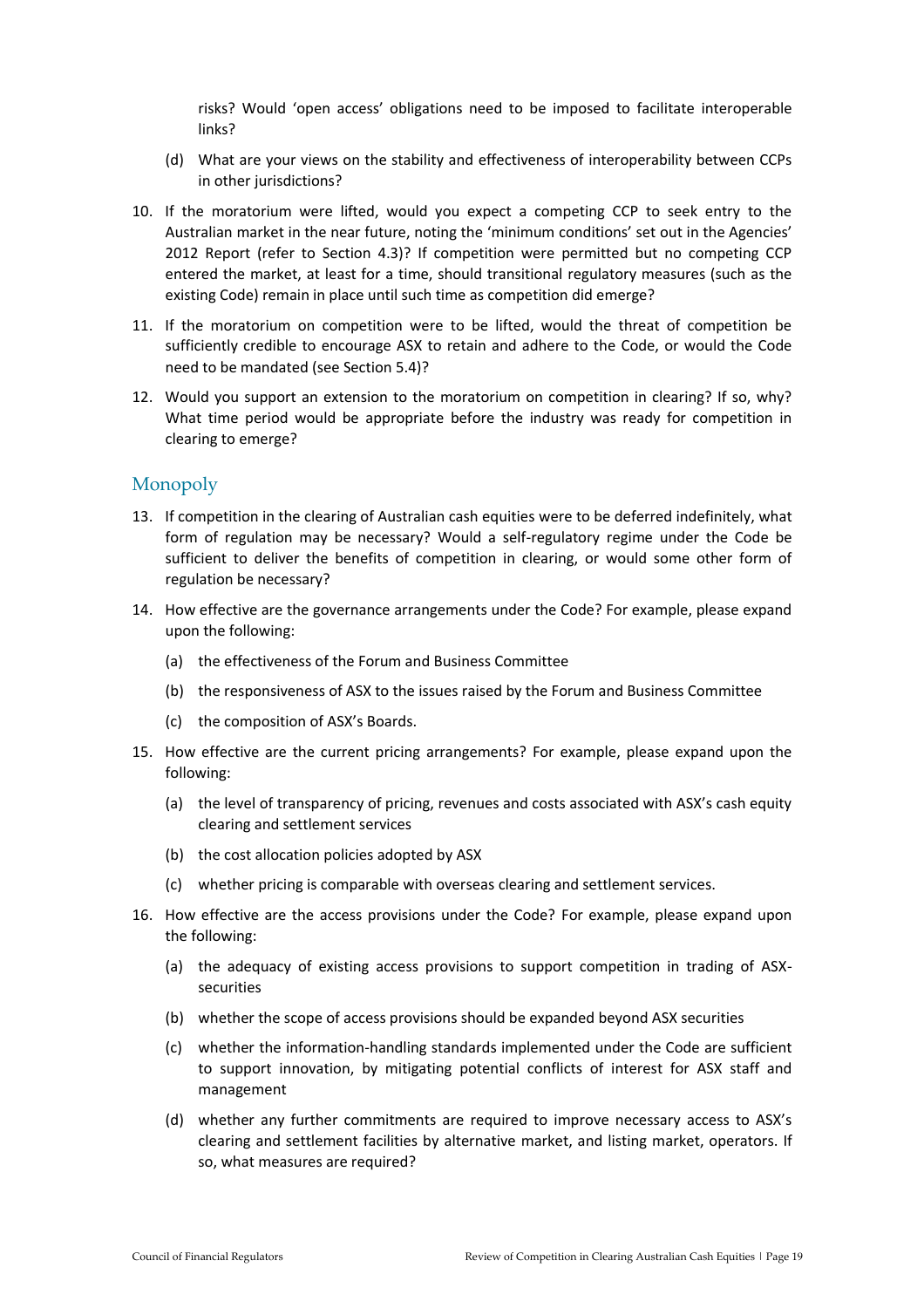risks? Would 'open access' obligations need to be imposed to facilitate interoperable links?

- (d) What are your views on the stability and effectiveness of interoperability between CCPs in other jurisdictions?
- 10. If the moratorium were lifted, would you expect a competing CCP to seek entry to the Australian market in the near future, noting the 'minimum conditions' set out in the Agencies' 2012 Report (refer to Section 4.3)? If competition were permitted but no competing CCP entered the market, at least for a time, should transitional regulatory measures (such as the existing Code) remain in place until such time as competition did emerge?
- 11. If the moratorium on competition were to be lifted, would the threat of competition be sufficiently credible to encourage ASX to retain and adhere to the Code, or would the Code need to be mandated (see Section 5.4)?
- 12. Would you support an extension to the moratorium on competition in clearing? If so, why? What time period would be appropriate before the industry was ready for competition in clearing to emerge?

#### Monopoly

- 13. If competition in the clearing of Australian cash equities were to be deferred indefinitely, what form of regulation may be necessary? Would a self-regulatory regime under the Code be sufficient to deliver the benefits of competition in clearing, or would some other form of regulation be necessary?
- 14. How effective are the governance arrangements under the Code? For example, please expand upon the following:
	- (a) the effectiveness of the Forum and Business Committee
	- (b) the responsiveness of ASX to the issues raised by the Forum and Business Committee
	- (c) the composition of ASX's Boards.
- 15. How effective are the current pricing arrangements? For example, please expand upon the following:
	- (a) the level of transparency of pricing, revenues and costs associated with ASX's cash equity clearing and settlement services
	- (b) the cost allocation policies adopted by ASX
	- (c) whether pricing is comparable with overseas clearing and settlement services.
- 16. How effective are the access provisions under the Code? For example, please expand upon the following:
	- (a) the adequacy of existing access provisions to support competition in trading of ASXsecurities
	- (b) whether the scope of access provisions should be expanded beyond ASX securities
	- (c) whether the information-handling standards implemented under the Code are sufficient to support innovation, by mitigating potential conflicts of interest for ASX staff and management
	- (d) whether any further commitments are required to improve necessary access to ASX's clearing and settlement facilities by alternative market, and listing market, operators. If so, what measures are required?